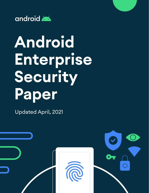

# **Android Enterprise Security Paper**

Updated April, 2021

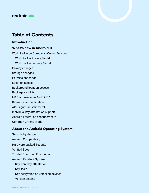

# **Table of Contents**

**[Introduction](#page-5-0)  [What's new in Android 11](#page-6-0)**  [Work Profile on Company - Owned Devices](#page-6-0) [— Work Profile Privacy Model](#page-7-0) [— Work Profile Security Model](#page-8-0) [Privacy changes](#page-9-0) [Storage changes](#page-11-0) [Permissions model](#page-11-0) [Location access](#page-12-0) [Background location access](#page-13-0) [Package visibility](#page-13-0) [MAC addresses in Android 11](#page-13-0) [Biometric authentication](#page-13-0) [APK signature scheme v4](#page-13-0) [Individual key attestation support](#page-14-0) [Android Enterprise enhancements](#page-14-0) [Common Criteria Mode](#page-15-0)

#### **[About the Android Operating System](#page-16-0)**

[Security by design](#page-17-0) [Android Compatibility](#page-18-0) [Hardware-backed Security](#page-18-0) [Verified Boot](#page-18-0) [Trusted Execution Environment](#page-18-0) A[ndroid Keystore System](#page-20-0) [— KeyStore key attestation](#page-21-0) [— KeyChain](#page-21-0) [— Key decryption on unlocked devices](#page-22-0) [— Version binding](#page-22-0)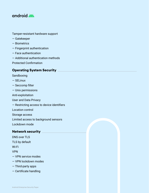

[Tamper-resistant hardware support](#page-22-0)

- [Gatekeeper](#page-23-0)
- [Biometrics](#page-23-0)
- [Fingerprint authentication](#page-24-0)
- [Face authentication](#page-24-0)
- [Additional authentication methods](#page-24-0)
- [Protected Confirmation](#page-25-0)

#### **[Operating System Security](#page-26-0)**

- [Sandboxing](#page-26-0)
- [SELinux](#page-26-0)
- [Seccomp filter](#page-27-0)
- [Unix permissions](#page-27-0)
- [Anti-exploitation](#page-27-0)
- [User and Data Privacy](#page-28-0)
- [Restricting access to device identifiers](#page-28-0)
- [Location control](#page-28-0)
- [Storage access](#page-29-0)
- [Limited access to background sensors](#page-29-0)
- [Lockdown mode](#page-29-0)

#### **[Network security](#page-30-0)**

[DNS over TLS](#page-30-0) [TLS by default](#page-31-0) [Wi-Fi](#page-31-0) [VPN](#page-32-0) [— VPN service modes](#page-32-0) [— VPN lockdown modes](#page-33-0) [— Third-party apps](#page-33-0) [— Certificate handling](#page-33-0)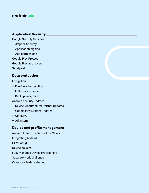## android

#### **[Application Security](#page-34-0)**

[Google Security Services](#page-34-0)

- [Jetpack Security](#page-34-0)
- [Application signing](#page-34-0)
- [App permissions](#page-35-0)
- [Google Play Protect](#page-36-0)
- [Google Play app review](#page-36-0)

**SafetyNet** 

#### **[Data protection](#page-38-0)**

#### [Encryption](#page-38-0)

- [File-Based encryption](#page-38-0)
- [Full-Disk encryption](#page-40-0)
- [Backup encryption](#page-40-0)
- [Android security updates](#page-40-0)
- [Device Manufacturer Partner Updates](#page-40-0)
- — [Google Play System Updates](#page-40-0)
- [Conscrypt](#page-41-0)
- [Adiantum](#page-41-0)

## **[Device and profile management](#page-42-0)**

[Android Enterprise Device Use Cases](#page-42-0) [Integrating Android](#page-43-0) [OEMConfig](#page-44-0) [Device policies](#page-44-0) [Fully Managed Device Provisioning](#page-47-0) [Separate work challenge](#page-47-0) [Cross profile data sharing](#page-48-0)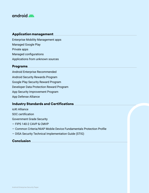# android

## **[Application management](#page-49-0)**

[Enterprise Mobility Management apps](#page-49-0) [Managed Google Play](#page-49-0) [Private apps](#page-50-0) [Managed configurations](#page-50-0) [Applications from unknown sources](#page-50-0) 

#### **[Programs](#page-51-0)**

[Android Enterprise Recommended](#page-51-0) [Android Security Rewards Program](#page-51-0) [Google Play Security Reward Program](#page-51-0) [Developer Data Protection Reward Program](#page-51-0) [App Security Improvement Program](#page-51-0) [App Defense Alliance](#page-52-0) 

## **[Industry Standards and Certifications](#page-53-0)**

[ioXt Alliance](#page-53-0)

[SOC certification](#page-53-0)

[Government Grade Security](#page-54-0)

- [FIPS 140-2 CAVP & CMVP](#page-54-0)
- [Common Criteria/NIAP Mobile Device Fundamentals Protection Profile](#page-54-0)
- [DISA Security Technical Implementation Guide \(STIG\)](#page-54-0)

#### **[Conclusion](#page-55-0)**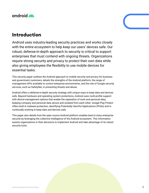<span id="page-5-0"></span>

# **Introduction**

Android uses industry-leading security practices and works closely with the entire ecosystem to help keep our users' devices safe. Our robust, defense-in-depth approach to security is critical to support enterprises that must contend with ongoing threats. Organizations require strong security and privacy to protect their own data while also giving employees the flexibility to use mobile devices for essential tasks.

This security paper outlines the Android approach to mobile security and privacy for business and government customers, details the strengths of the Android platform, the range of management APIs available to control enterprise environments, and the role of Google security services, such as SafetyNet, in preventing threats and abuse.

Android offers a defense-in-depth security strategy with unique ways to keep data and devices safe. Beyond hardware and operating system protections, Android uses multi-profile support with device-management options that enable the separation of work and personal data, keeping company and personal data secure and isolated from each other. Google Play Protect offers built-in malware protection, identifying Potentially Harmful Applications (PHAs) and is continually working to keep data and devices safe.

This paper also details how the open source Android platform enables best-in-class enterprise security by leveraging the collective intelligence of the Android ecosystem. This information assists organizations in their decisions to implement Android and take advantage of its robust security tools.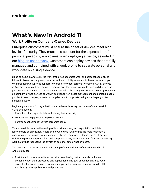<span id="page-6-0"></span>

# **What's New in Android 11**

## **Work Profile on Company-Owned Devices**

Enterprise customers must ensure their fleet of devices meet high levels of security. They must also account for the expectation of personal privacy by employees when deploying a device, as noted in our [blog on user privacy.](https://blog.google/products/android-enterprise/work-profile-new-standard-employee-privacy/) Customers can deploy devices that are fully managed and combined with a work profile to separate personal and work data on a single device.

Since its debut in Android 5, the work profile has separated work and personal apps, giving IT full control over work apps and data, but with no visibility into or control over personal apps. We introduced work profile support for corporate-owned, personally enabled (COPE) devices in Android 8, giving admins complete control over the device to include deep visibility into the personal use. In Android 11, organizations can utilize the strong security and privacy protections on company-owned devices as well, in addition to new asset management and personal usage policies to keep company assets in compliance with corporate policy while helping protect personal privacy.

Beginning in Android 11, organizations can achieve three key outcomes of a successful COPE deployment:

- Protections for corporate data with strong device security
- Measures to help preserve employee privacy
- Enforce asset compliance with corporate policy.

This is possible because the work profile provides strong anti-exploitation and data loss controls on any device, regardless of who owns it, as well as the tools to identify a compromised device and protect against malware. Therefore, IT doesn't need full device visibility to protect corporate data and company assets; instead they can focus on protecting work data while respecting the privacy of personal data owned by users.

The security of the work profile is built on top of multiple layers of security found in all Android devices.

• First, Android uses a security model called sandboxing that includes isolation and containment of data, processes, and applications. The goal of sandboxing is to keep an application's data isolated from other apps, and prevent access from outside of the sandbox by other applications and processes.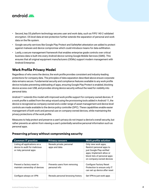<span id="page-7-0"></span>

- Second, key OS platform technology secures user and work data, such as FIPS 140-2 validated encryption. OS level data-at-rest protection further extends the separation of personal and work data on the file system.
- Google security services like Google Play Protect and SafetyNet attestation are added to protect against malware and device compromise which could introduce means for data exfiltration.
- Lastly, a secure management framework that enables enterprise grade controls over critical business data is built into every Android device running Google Mobile Services (GMS). This ensures that all original equipment manufacturers (OEMs) support modern management with Android Enterprise.

## **Work Profile Privacy Model**

Regardless of who owns the device, the work profile provides consistent and industry-leading protections for company data. The principles of data separation described above ensure corporate data remains secure. Fundamental security and compliance features available to any work profile device includes preventing sideloading of apps, ensuring Google Play Protect is enabled, blocking device access over USB, and provides strong device security without the need for visibility into personal data.

Android 11 extends this model with improved work profile support for company-owned devices. If a work profile is added from the setup wizard using the provisioning tools added in Android 11, the device is recognized as company-owned and a wider range of asset management and device level controls are made available to the device policy controller (DPC). These capabilities enable easier management of both work and personal use on company-owned devices, while maintaining the privacy protections of the work profile.

Measures to help protect and preserve a user's privacy do not impact a device's overall security, but rather prevents an admin from viewing a user's potentially sensitive personal information such as personal apps.

| <b>Common IT practice</b>                                                                | <b>Privacy concern</b>                        | <b>Work profile solution</b>                                                                                                                                           |
|------------------------------------------------------------------------------------------|-----------------------------------------------|------------------------------------------------------------------------------------------------------------------------------------------------------------------------|
| Listing all applications on a<br>device to audit for malicious<br>or risky personal apps | Reveals private, personal<br>apps and data    | Only view work apps;<br>Restrict personal apps to<br>just Google Play-verified<br>apps; Implement allow or<br>block lists of personal apps<br>on company-owned devices |
| Prevent a factory reset to<br>maintain ownership of devices                              | Prevents users from removing<br>personal info | <b>Configure Factory Reset</b><br>Protection to ensure only IT<br>can set up device after reset                                                                        |
| Configure always on VPN                                                                  | Reveals personal browsing history             | Set VPN to just work apps                                                                                                                                              |

#### **Preserving privacy without compromising security**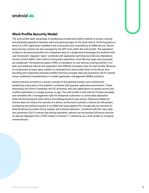<span id="page-8-0"></span>

## **Work Profile Security Model**

The work profile takes advantage of sandboxing components within Android to ensure a secure and protected separation between work and personal apps on the same device. Enforcing policy is done via a DPC application installed in the work profile and controlled by an EMM service. Device level security controls are also managed by the DPC from within the work profile. The separation of data on the personal profile from enterprise data on a single device leverages the Android multiuser framework. Separate "users'' combined with application permissions & SELinux Mandatory Access Control (MAC) rules enforce strong data separation, much like how apps and processes are sandboxed. File-based encryption (FBE) is mandatory on new devices running Android 10 or later, and enhances data-at-rest separation with different encryption keys for each profile. Because of containment at every layer, isolation is extended from each profile down to the kernel, thus providing strict separation between profiles that have stronger data loss prevention (DLP) controls versus traditional containerization or mobile application management (MAM) solutions.

Android devices are built on a proven concept of fine-grained isolation and containment – sandboxing many parts of the platform combined with granular application permissions. These techniques are found in hardware, the OS, the kernel, and user applications to protect access and confine exploitation to a single process or app. The work profile is built with all of these principles and extended with a management layer for enterprise customers to control data separation while still protecting the entire device and helping preserve user privacy. Reduced visibility for admins does not reduce the security of a device, as the tools to protect a device are still present. Configuring the policies properly in an EMM and using signals from Google security services on Android devices provides strong integrity and malware detection. Combined with the many data loss prevention (DLP) controls and strong separation, admins can be assured full device security on devices deployed with a COPE model on Android 11, referred to as a work profile on companyowned devices.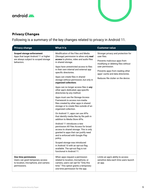# <span id="page-9-0"></span>android



## **Privacy Changes**

Following is a summary of the key changes related to privacy in Android 11.

| <b>Privacy change</b>                                                                                                            | What it is                                                                                                                                                                                             | <b>Customer value</b>                                                                                                                                                                                                                                         |
|----------------------------------------------------------------------------------------------------------------------------------|--------------------------------------------------------------------------------------------------------------------------------------------------------------------------------------------------------|---------------------------------------------------------------------------------------------------------------------------------------------------------------------------------------------------------------------------------------------------------------|
| <b>Scoped storage enforcement</b><br>Apps that target Android 11 or higher<br>are always subject to scoped storage<br>behaviors. | Modification of the Files and Media<br>(Storage) permission to allow only read<br>access to photos, video and audio files<br>in shared storage.                                                        | Stronger privacy and protection for<br>user files.<br>Prevents malicious apps from<br>modifying or deleting files without<br>user permission.<br>Prevents apps from reading other<br>apps' cache and data directories.<br>Reduces file clutter on the device. |
|                                                                                                                                  | Apps have unrestricted access to files<br>in their own internal and external app<br>specific directories.                                                                                              |                                                                                                                                                                                                                                                               |
|                                                                                                                                  | Apps can create files in shared<br>storage without permission, but only in<br>organized collections.                                                                                                   |                                                                                                                                                                                                                                                               |
|                                                                                                                                  | Apps can no longer access files in any<br>other app's dedicated, app-specific<br>directories by any method.                                                                                            |                                                                                                                                                                                                                                                               |
|                                                                                                                                  | Apps must use the Storage Access<br>Framework to access non-media<br>files created by other apps in shared<br>storage or to create files outside of an<br>organized collection.                        |                                                                                                                                                                                                                                                               |
|                                                                                                                                  | On Android 11, apps can use APIs<br>that identify media files by file path in<br>addition to Media Store APIs.                                                                                         |                                                                                                                                                                                                                                                               |
|                                                                                                                                  | Android 11 introduces a new<br>permission All Files Access for broad<br>access to shared storage. This is only<br>granted to apps that can justify need<br>and is enforced with Google Play<br>policy. |                                                                                                                                                                                                                                                               |
|                                                                                                                                  | Scoped storage was introduced<br>in Android 10 with an opt-out flag<br>available. The opt-out flag is not<br>functional in Android 11.                                                                 |                                                                                                                                                                                                                                                               |
| <b>One-time permissions</b><br>Users can grant temporary access<br>to location, microphone, and camera<br>permissions.           | When apps request a permission<br>related to location, microphone, or<br>camera, users can opt for "Only this<br>time." This option grants a temporary<br>one-time permission for the app.             | Limits an app's ability to access<br>sensitive data each time users launch<br>an app.                                                                                                                                                                         |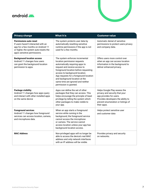



| <b>Privacy change</b>                                                                                                                                                               | What it is                                                                                                                                                                                                                                                                                                                                                | <b>Customer value</b>                                                                                                                                                                |
|-------------------------------------------------------------------------------------------------------------------------------------------------------------------------------------|-----------------------------------------------------------------------------------------------------------------------------------------------------------------------------------------------------------------------------------------------------------------------------------------------------------------------------------------------------------|--------------------------------------------------------------------------------------------------------------------------------------------------------------------------------------|
| <b>Permissions auto-reset</b><br>If users haven't interacted with an<br>app for a few months on Android 11<br>or higher, the system auto-resets the<br>app's sensitive permissions. | The system protects user data by<br>automatically resetting sensitive<br>runtime permissions if the app is not<br>used for a few months.                                                                                                                                                                                                                  | Automatic denial of sensitive<br>permissions to protect users privacy<br>and company data.                                                                                           |
| <b>Background location access</b><br>Android 11 changes how users<br>can grant the background location<br>permission to apps.                                                       | The system enforces incremental<br>location permission requests<br>automatically requiring apps to<br>request and receive access to<br>foreground location before requesting<br>access to background location.<br>App requests for a foreground location<br>and background location at the<br>same time are ignored and neither<br>permission is granted. | Offers users more control over<br>when an app can access location<br>information in the background to<br>deliver enhanced privacy.                                                   |
| <b>Package visibility</b><br>Android 11 changes how apps query<br>and interact with other installed apps<br>on the same device                                                      | Apps can define the set of other<br>packages that they can access. This<br>helps encourage the principle of least<br>privilege by telling the system which<br>other packages to make visible to<br>your app.                                                                                                                                              | Helps Google Play assess the<br>privacy and security that your<br>app provides for users.<br>Provides developers the ability to<br>prevent enumeration or listings of<br>their apps. |
| <b>Foreground services</b><br>Android 11 changes how foreground<br>services can access location, camera,<br>and microphone data.                                                    | When an app starts a foreground<br>service while running in the<br>background, the foreground service<br>cannot access the microphone<br>or camera. The service cannot<br>access location unless your app has<br>background location access.                                                                                                              | Helps protect sensitive user<br>and customer data                                                                                                                                    |
| <b>MAC Address</b>                                                                                                                                                                  | Non-privileged apps will no longer be<br>able to access the device's real MAC<br>address and only network interfaces<br>with an IP address will be visible.                                                                                                                                                                                               | Provides privacy and security<br>on networks.                                                                                                                                        |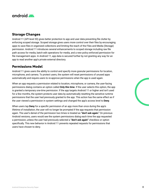<span id="page-11-0"></span>

#### **Storage Changes**

Android 11 (API level 30) gives better protection to app and user data preventing file clutter by enforcing scoped storage. Scoped storage gives users more control over their files by encouraging apps to save files in organized collections and limiting the reach of the Files and Media (Storage) permission. Android 11 introduces several enhancements to scoped storage including raw file path access for media, batch edit operations for media, and a new policy enforced permission for file management apps. In Android 11, app data is secured further by not granting any way for an app to read another app's private external directory.

#### **Permissions Model**

Android 11 gives users the ability to control and specify more granular permissions for location, microphone, and camera. To protect users, the system will reset permissions of unused apps automatically and require users to re-approve permissions when the app is used again.

When an app requests a permission related to location, microphone, or camera, the user-facing permissions dialog contains an option called **Only this time**. If the user selects this option, the app is granted a temporary *one-time permission*. If the app targets Android 11 or higher and isn't used for a few months, the system protects user data by automatically resetting the sensitive runtime permissions that the user had previously granted to the app. This action has the same effect as if the user viewed a permission in system settings and changed the app's access level to **Deny**.

When users tap **Deny** for a specific permission of an app more than once during the app's lifetime of installation, the user will no longer be prompted if the app requests that permission again. The user's denial of the permission two times is treated as **"don't ask again."** On previous Android versions, users would see the system permissions dialog each time the app requested a permission, unless the user had previously selected a **"don't ask again"** checkbox or option specifically. This new behavior in Android 11 prevents repeated requests for permissions that users have chosen to deny.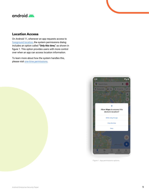# <span id="page-12-0"></span>android

## **Location Access**

On Android 11, whenever an app requests access to [foreground location](https://developer.android.com/training/location/permissions#foreground), the system permissions dialog includes an option called **"Only this time,"** as shown in figure 1. This option provides users with more control over when an app can access location information.

To learn more about how the system handles this, please visit [one-time permissions](https://developer.android.com/guide/topics/permissions/overview#one-time).



Figure 1. App permissions options.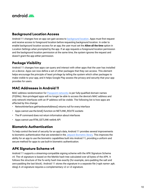<span id="page-13-0"></span>

#### **Background Location Access**

Android 11 changes how an app can gain access to [background location](https://developer.android.com/training/location/permissions#background). Apps must first request and receive access to foreground location before requesting background location. In order to enable background location access for an app, the user must set the **Allow all the time** option in Location Settings when prompted by the app. If an app requests a foreground location permission and the background location permission at the same time, the system ignores the request and doesn't grant the app either permission.

## **Package Visibility**

Android 11 changes how apps can query and interact with other apps that the user has installed on a device. Apps can now define a set of other packages that they can access. This element helps encourage the principle of least privilege by telling the system which other packages to make visible to your app, and it helps Google Play assess the privacy and security that your app provides for users.

## **MAC Addresses in Android 11**

MAC address randomization for [Passpoint networks](https://source.android.com/devices/tech/connect/wifi-passpoint) is per fully-qualified domain names (FQDNs). Non-privileged apps will no longer be able to access the device's MAC address and only network interfaces with an IP address will be visible. The following list is how apps are affected by this change:

- NetworkInterface.getHardwareAddress() returns null for every interface
- Apps cannot use the bind() function on NETLINK\_ROUTE sockets
- The IP command does not return information about interfaces
- Apps cannot use RTM\_GETLINK netlink API

## **Biometric Authentication**

To help control the level of security for an app's data, Android 11 provides several improvements to biometric authentication that are extended in the [Jetpack Biometric library](https://developer.android.com/jetpack/androidx/releases/biometric). This improves the ability for an app to use the biometric capabilities built into Android 11, providing a uniform and secure method for apps to use built-in biometric authentication.

## **APK Signature Scheme v4**

Android 11 supports a streaming-compatible signing scheme with the APK Signature Scheme v4. The v4 signature is based on the Merkle hash tree calculated over all bytes of the APK. It follows the structure of the fs-verity hash tree exactly (for example, zero-padding the salt and zero-padding the last block). Android 11 stores the signature in a separate file (<apk name>.apk. idsig) A v4 signature requires a complementary v2 or v3 signature.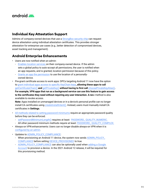<span id="page-14-0"></span>

#### **Individual Key Attestation Support**

Admins of company-owned devices that use a [StrongBox security chip](https://developer.android.com/training/articles/keystore#HardwareSecurityModule) can request device attestation using individual attestation certificates. This provides stronger attestation for enterprise use cases (e.g., better detection of compromised devices, asset tracking and management).

## **Android Enterprise Enhancements**

- Users are now notified when an admin:
	- [Enables location services](https://developer.android.com/reference/android/app/admin/DevicePolicyManager#setLocationEnabled(android.content.ComponentName,%20boolean)) on their company-owned device. If the admin sets a global policy to auto-accept all permissions, the user is notified when an app requests, and is granted, location permission because of this policy.
	- [Grants an app the permission](https://developer.android.com/reference/android/app/admin/DevicePolicyManager#setPermissionGrantState(android.content.ComponentName,%20java.lang.String,%20java.lang.String,%20int)) to use the location of a personallyowned device.
- Pre-grant certificate access to work apps: DPCs targeting Android 11 now have the option to [grant individual apps access to specific KeyChain keys](https://developer.android.com/reference/android/app/admin/DevicePolicyManager#grantKeyPairToApp(android.content.ComponentName,%20java.lang.String,%20java.lang.String))**, allowing these apps to call**  [getCertificateChain\(\)](https://developer.android.com/reference/android/security/KeyChain#getCertificateChain(android.content.Context,%20java.lang.String)) **and** [getPrivateKey\(\)](https://developer.android.com/reference/android/security/KeyChain#getPrivateKey(android.content.Context,%20java.lang.String)) **without having to first call** [choosePrivateKeyAlias\(\)](https://developer.android.com/reference/android/security/KeyChain#choosePrivateKeyAlias(android.app.Activity,%20android.security.KeyChainAliasCallback,%20java.lang.String%5B%5D,%20java.security.Principal%5B%5D,%20java.lang.String,%20int,%20java.lang.String))**. For example, VPN apps that run as a background service can use this feature to gain access to the certificates they need without requiring any user interaction. A ne**w method is also available to revoke access.

**Note:** Apps installed on unmanaged devices or in a device's personal profile can no longer install CA certificates using [createInstallIntent\(\).](https://developer.android.com/reference/android/security/KeyChain#createInstallIntent()) Instead, users must manually install CA certificates in **Settings**.

- [All methods related to setting password minimums](https://developer.android.com/reference/android/app/admin/DevicePolicyManager#setPasswordMinimumLength(android.content.ComponentName,%20int)) require an appropriate password quality before they can be enforced.
	- [setPasswordMinimumLength\(\)](https://developer.android.com/reference/android/app/admin/DevicePolicyManager#setPasswordMinimumLength(android.content.ComponentName,%20int)) requires at least: [PASSWORD\\_ QUALITY\\_NUMERIC.](https://developer.android.com/reference/android/app/admin/DevicePolicyManager#PASSWORD_QUALITY_NUMERIC)
	- All other password minimum methods require at least: [PASSWORD\\_ QUALITY\\_COMPLEX.](https://developer.android.com/reference/android/app/admin/DevicePolicyManager#PASSWORD_QUALITY_COMPLEX)
- Always-on VPN enhancements: Users can no longer disable always-on VPN when it is [configured by an admin](https://developer.android.com/reference/android/app/admin/DevicePolicyManager?hl=en#setAlwaysOnVpnPackage(android.content.ComponentName,%20java.lang.String,%20boolean)).
- Updates to [ADMIN\\_POLICY\\_COMPLIANCE](https://developer.android.com/reference/android/app/admin/DevicePolicyManager#ACTION_ADMIN_POLICY_COMPLIANCE):
	- When provisioning an Android 11 device, the system now sends [ADMIN\\_POLICY\\_](https://developer.android.com/reference/android/app/admin/DevicePolicyManager#ACTION_ADMIN_POLICY_COMPLIANCE) [COMPLIANCE](https://developer.android.com/reference/android/app/admin/DevicePolicyManager#ACTION_ADMIN_POLICY_COMPLIANCE) before setting [DEVICE\\_PROVISIONED](https://developer.android.com/reference/android/provider/Settings.Global#DEVICE_PROVISIONED) to true.
	- [ADMIN\\_POLICY\\_COMPLIANCE](https://developer.android.com/reference/android/app/admin/DevicePolicyManager#ACTION_ADMIN_POLICY_COMPLIANCE) can also be optionally used when [adding a Google](https://developers.google.com/android/work/play/emm-api/prov-devices#google_account_method)  [Account](https://developers.google.com/android/work/play/emm-api/prov-devices#google_account_method) to provision a device. In the 2021 Android 12 release, it will be required for this provisioning method.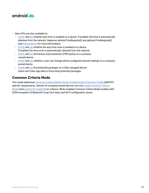<span id="page-15-0"></span>

- New APIs are also available to:
	- [Check](https://developer.android.com/reference/android/app/admin/DevicePolicyManager#getAutoTimeEnabled(android.content.ComponentName)) and [set](https://developer.android.com/reference/android/app/admin/DevicePolicyManager#setAutoTimeEnabled(android.content.ComponentName,%20boolean)) whether auto time is enabled on a device. If enabled, the time is automatically obtained from the network. Replaces setAutoTimeRequired() and getAutoTimeRequired() (see [Deprecations](https://developer.android.com/work/versions/android-11#deprecations) for more information).
	- [Check](https://developer.android.com/reference/android/app/admin/DevicePolicyManager#getAutoTimeZoneEnabled(android.content.ComponentName)) and [set](https://developer.android.com/reference/android/app/admin/DevicePolicyManager#setAutoTimeZoneEnabled(android.content.ComponentName,%20boolean)) whether the auto time zone is enabled on a device. If enabled, the time zone is automatically obtained from the network.
	- [Check](https://developer.android.com/reference/android/app/admin/DevicePolicyManager#getFactoryResetProtectionPolicy(android.content.ComponentName)) and [set](https://developer.android.com/reference/android/app/admin/DevicePolicyManager#setFactoryResetProtectionPolicy(android.content.ComponentName,%20android.app.admin.FactoryResetProtectionPolicy)) the factory reset protection (FRP) policy on a company -owned device.
	- [Check](https://developer.android.com/reference/android/app/admin/DevicePolicyManager#hasLockdownAdminConfiguredNetworks(android.content.ComponentName)) and [set](https://developer.android.com/reference/android/app/admin/DevicePolicyManager#setConfiguredNetworksLockdownState(android.content.ComponentName,%20boolean)) whether a user can change admin-configured network settings on a companyowned device.
	- [Check](https://developer.android.com/reference/android/app/admin/DevicePolicyManager#getUserControlDisabledPackages(android.content.ComponentName)) and [set](https://developer.android.com/reference/android/app/admin/DevicePolicyManager#setUserControlDisabledPackages(android.content.ComponentName,%20java.util.List%3Cjava.lang.String%3E)) the protected packages on a fully managed device. Users can't clear app data or force-stop protected packages.

## **Common Criteria Mode**

This mode addresses [Common Criteria Mobile Device Fundamentals Protection Profile](https://www.commoncriteriaportal.org/files/ppfiles/pp_md_v3.1.pdf) (MDFPP) specific requirements. Admins of company-owned devices can now [enable Common Criteria](https://developer.android.com/reference/android/app/admin/DevicePolicyManager#setCommonCriteriaModeEnabled(android.content.ComponentName,%20boolean))  [Mode](https://developer.android.com/reference/android/app/admin/DevicePolicyManager#setCommonCriteriaModeEnabled(android.content.ComponentName,%20boolean)) (and [check if it's enabled](https://developer.android.com/reference/android/app/admin/DevicePolicyManager#isCommonCriteriaModeEnabled(android.content.ComponentName))) on a device. When enabled, Common Criteria Mode enables AES-GCM encryption of Bluetooth Long Term Keys and Wi-Fi configuration stores.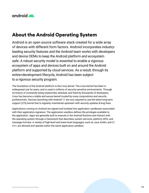<span id="page-16-0"></span>

# **About the Android Operating System**

Android is an open source software stack created for a wide array of devices with different form factors. Android incorporates industryleading security features and the Android team works with developers and device OEMs to keep the Android platform and ecosystem safe. A robust security model is essential to enable a vigorous ecosystem of apps and devices built on and around the Android platform and supported by cloud services. As a result, through its entire≈development lifecycle, Android has been subject to a rigorous security program.

The foundation of the Android platform is the Linux kernel. The Linux kernel has been in widespread use for years, and is used in millions of security-sensitive environments. Through its history of constantly being researched, attacked, and fixed by thousands of developers, Linux has become a stable and secure kernel trusted by many corporations and security professionals. Devices launching with Android 11 are now required to use the latest long-term support (LTS) kernel that is regularly maintained upstream with security updates & bug fixes.

Applications running on Android are signed and isolated into application sandboxes associated with their application signature. The application sandbox defines the privileges available to the application. Apps are generally built to execute in the Android Runtime and interact with the operating system through a framework that describes system services, platform APIs, and message formats. A variety of high-level and lower-level languages, such as Java, Kotlin, and C/ C++, are allowed and operate within the same application sandbox.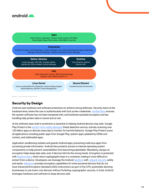<span id="page-17-0"></span>



Figure 2. The Android software stack

## **Security by Design**

Android uses hardware and software protections to achieve strong defenses. Security starts at the hardware level, where the user is authenticated with lock screen credentials. [Verified Boot](https://source.android.com/security/verifiedboot) ensures the system software has not been tampered with, and hardware-assisted encryption and key handling help protect data in transit and at rest.

At the software layer, built-in protection is essential to helping Android devices stay safe. Google Play Protect is the [world's most widely-deployed](https://developers.google.com/android/play-protect) threat detection service, actively scanning over 100 billion apps on devices every day to monitor for harmful behavior. Google Play Protect scans all applications including public apps from Google Play, system apps updated by OEMs and carriers, and sideloaded apps.

Application sandboxing isolates and guards Android apps, preventing malicious apps from accessing private information. Android also protects access to internal operating system components, to help prevent vulnerabilities from becoming exploitable. Mandatory, always-on encryption helps keep data safe, even if devices fall into the wrong hands. Encryption is protected with [Keystore keys](https://developer.android.com/training/articles/keystore), which store cryptographic keys in a container, making it more difficult to extract from a device. Developers can leverage the Android [KeyStore](https://developer.android.com/reference/java/security/KeyStore.html) with [Jetpack Security](https://developer.android.com/jetpack/androidx/releases/security) safely and easily. [Adiantum](https://source.android.com/security/encryption/adiantum) provides encryption capabilities for lower-powered devices that do not have Advanced Encryption Standard (AES) instructions as part of the CPU, potentially allowing businesses to use lower cost devices without forfeiting cryptographic security. In total, Android leverages hardware and software to keep devices safe.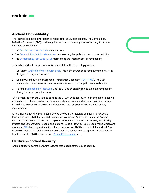<span id="page-18-0"></span>

## **Android Compatibility**

The Android compatibility program consists of three key components. The Compatibility Definition Document (CDD) provides guidelines that cover many areas of security to include hardware and software:

- The [Android Open Source Project](https://android.googlesource.com/) source code
- The [Compatibility Definition Document](https://source.android.com/compatibility/cdd), representing the "policy" aspect of compatibility
- The [Compatibility Test Suite \(CTS\),](https://source.android.com/compatibility/cts) representing the "mechanism" of compatibility

To build an Android-compatible mobile device, follow this three-step process:

- 1. Obtain the [Android software source code](https://source.android.com/setup). This is the source code for the Android platform that you port to your hardware.
- 2. Comply with the Android Compatibility Definition Document ([PDF,](https://source.android.com/compatibility/android-cdd.pdf) [HTML\)](https://source.android.com/compatibility/android-cdd). The CDD enumerates the software and hardware requirements of a compatible Android device.
- 3. Pass the [Compatibility Test Suite](https://source.android.com/compatibility/cts). Use the CTS as an ongoing aid to evaluate compatibility during the development process.

After complying with the CDD and passing the CTS, your device is Android compatible, meaning Android apps in the ecosystem provide a consistent experience when running on your device. It also helps to ensure that device manufacturers have complied with mandated security requirements.

After building an Android compatible device, device manufacturers can apply for a Google Mobile Services (GMS) license. GMS is required to manage Android devices using Android Enterprise and also adds all of the Google security services to include SafetyNet, Google Play Protect, and SafeBrowsing. Google applications (Google Play, YouTube, Google Maps, Gmail, and more) and [APIs](https://developers.google.com/android/guides/overview) help support functionality across devices. GMS is not part of the Android Open Source Project (AOSP) and is available only through a license with Google. For information on how to request a GMS license, see our [Contact/Community](https://source.android.com/setup/community#for-business-inquiries) page.

## **Hardware-backed Security**

Android supports several hardware features that enable strong device security.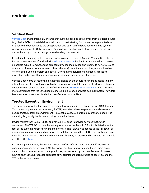

#### **Verified Boot**

[Verified Boot](http://source.android.com/security/verifiedboot/index.html) cryptographically ensures that system code and data comes from a trusted source (e.g. device OEMs). It establishes a full chain of trust, starting from a hardware-protected root of trust to the bootloader, to the boot partition and other verified partitions including system, vendor, and optionally OEM partitions. During device boot up, each stage verifies the integrity and authenticity of the next stage before handing over execution.

In addition to ensuring that devices are running a safe version of Android, Verified Boot checks for the correct version of Android with [rollback protection](https://source.android.com/security/verifiedboot/verified-boot#rollback-protection). Rollback protection helps to prevent a possible exploit from becoming persistent by ensuring devices only update to newer versions of Android. A kernel compromise (or physical attack) cannot install an older, more vulnerable, version of the OS on a system and boot it. Device manufacturers must integrate rollback protection and ensure that a device's state is stored in tamper-evident storage.

Verified Boot works by retrieving a statement signed by the secure hardware attesting to many attributes of Verified Boot along with other information about the state of the device. Enterprise customers can check the state of Verified Boot using [KeyStore key attestation](https://developer.android.com/training/articles/security-key-attestation.html), which provides more confidence that the keys used are stored in a device's hardware-backed keystore. KeyStore key attestation is required for device manufacturers to use GMS.

#### **Trusted Execution Environment**

The processor provides the Trusted Execution Environment (TEE) - Trustzone on ARM devices. This secondary, isolated environment, the TEE, virtualizes the main processor and creates a secure trusted execution environment. This enables separation from any untrusted code. The capability is typically implemented using secure hardware.

Device makers then use a TEE OS and various TEE apps to provide services that AOSP consumes. The TEE OS runs on the same processor as the Android OS but is isolated from the rest of the system by both hardware and software. The TEE OS has access to the full power of a device's main processor and memory. The isolation protects the TEE OS from malicious apps installed by the user and potential vulnerabilities that may be discovered in Android. An example of a TEE OS is [Trusty](https://source.android.com/security/trusty).

In a TEE implementation, the main processor is often referred to as "untrusted," meaning it cannot access certain areas of RAM, hardware registers, and write-once fuses where secret data (such as, device-specific cryptographic keys) are stored by the manufacturer. Software running on the main processor delegates any operations that require use of secret data to the TEE in the main processor.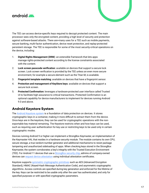<span id="page-20-0"></span>



The TEE can access device-specific keys required to decrypt protected content. The main processor sees only the encrypted content, providing a high level of security and protection against software-based attacks. There are≈many uses for a TEE such as mobile payments, secure banking, multi-factor authentication, device reset protection, and replay-protected persistent storage. The TEE is responsible for some of the most security-critical operations on the device, including:

- 1. **Digital Rights Management (DRM**): an extensible framework that lets apps manage rights-protected content according to the license constraints associated with the content.
- 2. **Lock screen passcode verification**: available on devices that support a secure lock screen. Lock screen verification is provided by the TEE unless an even more secure environment, for example a secure element such as the Titan M, is available.
- 3. **Fingerprint template matching**: available on devices that have a fingerprint sensor.
- 4. **Protection and management of KeyStore keys**: available on devices that support a secure lock screen.
- 5. **Protected Confirmation:** leverages a hardware-protected user interface called Trusted UI to facilitate high assurance to critical transactions. Protected Confirmation is an optional capability for device manufacturers to implement for devices running Android 9.0 and above.

## **Android Keystore System**

The [Android Keystore system](https://developer.android.com/training/articles/keystore) is a foundation of data protection on devices. It stores cryptographic keys in a container, making it more difficult to extract them from the device. Once keys are in the keystore, they can be used for cryptographic operations with the nonexportable key material remaining. The Keystore restricts when and how keys can be used, such as requiring user authentication for key use or restricting keys to be used only in certain cryptographic modes.

Devices running Android 9 or higher can implement a StrongBox Keymaster, an implementation of the Keymaster HAL that resides in a hardware security module. The module contains its own CPU, secure storage, a true random-number generator and additional mechanisms to resist package tampering and unauthorized sideloading of apps. When checking keys stored in the StrongBox Keymaster, the system corroborates a key's integrity with the Trusted Execution Environment (TEE). For Android 11 devices that use a [StrongBox security chip](https://developer.android.com/training/articles/keystore#HardwareSecurityModule), admins of company-owned devices can [request device attestation](https://developer.android.com/reference/android/app/admin/DevicePolicyManager#generateKeyPair(android.content.ComponentName,%20java.lang.String,%20android.security.keystore.KeyGenParameterSpec,%20int)) using individual attestation certificates.

Keystore supports [symmetric cryptographic primitives](https://source.android.com/security/keystore/features.html) such as AES (Advanced Encryption Standard), HMAC (Keyed-Hash Message Authentication Code), and asymmetric cryptographic algorithms. Access controls are specified during key generation and enforced for the lifetime of the key. Keys can be restricted to be usable only after the user has authenticated, and only for specified purposes or with specified cryptographic parameters.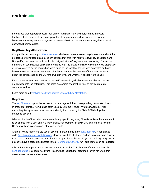<span id="page-21-0"></span>

For devices that support a secure lock screen, KeyStore must be implemented in secure hardware. Enterprise customers are provided strong assurances that even in the event of a kernel compromise, KeyStore keys are not extractable from the secure hardware, thus protecting encrypted business data.

#### **KeyStore Key Attestation**

Compatible devices support [Key Attestation](https://developer.android.com/training/articles/security-key-attestation) which empowers a server to gain assurance about the properties of keys used on a device. On devices that ship with hardware-level key attestation and Google Play services, the root certificate is signed with a Google attestation root key. The secure hardware on such devices can sign statements with the provisioned key, which attests to properties of keys protected by the secure hardware, such as the fact that the key was generated and can't leave the secure hardware. Key Attestation better secures the location of important properties about the device, such as the OS version, patch level, and whether it passed Verified Boot.

Enterprise customers can perform a device ID attestation, which ensures only known devices are enrolled into the enterprise. This helps customers ensure their fleet of devices remain compromise free.

Learn more about [verifying hardware-backed keys with Key Attestation.](https://developer.android.com/training/articles/security-key-attestation)

#### **KeyChain**

The [KeyChain class](https://developer.android.com/reference/android/security/KeyChain) provides access to private keys and their corresponding certificate chains in credential storage. KeyChain is often used by Chrome, Virtual Private Networks (VPNs), and enterprise apps to access keys imported by the user or by the EMM DPC deployed on managed devices.

Whereas the KeyStore is for non-shareable app-specific keys, KeyChain is for keys that are meant to be shared with a user and in a work profile. For example, an EMM DPC can import a key that Chrome will use to access an enterprise website.

Android 10 and higher makes use of several improvements in the [KeyChain API.](https://developer.android.com/reference/android/security/KeyChain.html) When an app calls [KeyChain.choosePrivateKeyAlias](https://developer.android.com/reference/android/security/KeyChain#choosePrivateKeyAlias(android.app.Activity,%20android.security.KeyChainAliasCallback,%20java.lang.String%5B%5D,%20java.security.Principal%5B%5D,%20java.lang.String,%20int,%20java.lang.String)), devices now filter the list of certificates a user can choose from based on the issuers and key algorithms specified in the call. KeyChain no longer requires a device to have a screen lock before keys or [Certificate Authority](https://source.android.com/security/overview/app-security#certificate-authorities) (CA) certificates can be imported.

A benefit for Enterprise customers with Android 11 is that TLS client certificates can have their [keys generated](https://developer.android.com/reference/android/app/admin/DevicePolicyManager.html#generateKeyPair(android.content.ComponentName,%20java.lang.String,%20android.security.keystore.KeyGenParameterSpec,%20int)) via secure hardware. This method is useful for creating a key in KeyChain that never leaves the secure hardware.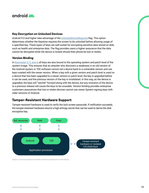<span id="page-22-0"></span>

#### **Key Decryption on Unlocked Devices**

Android 9.0 and higher take advantage of the [unlockedDeviceRequired](https://developer.android.com/reference/android/security/keystore/KeyProtection.Builder#setUnlockedDeviceRequired(boolean)) flag. This option determines whether the Keystore requires the screen to be unlocked before allowing usage of a specified key. These types of keys are well suited for encrypting sensitive data stored on disk, such as health and enterprise data. The flag provides users a higher assurance that the data cannot be decrypted while the device is locked should their phone be lost or stolen.

#### **Version Binding**

In [Keymaster 2, 3, and 4](https://source.android.com/security/keystore), all keys are also bound to the operating system and patch level of the system image. This ensures that an attacker who discovers a weakness in an old version of the Android system or TEE software cannot roll a device back to a vulnerable version and use keys created with the newer version. When a key with a given version and patch level is used on a device that has been upgraded to a newer version or patch level, the key is upgraded before it can be used, and the previous version of the key is invalidated. In this way, as the device is upgraded, the keys will "ratchet" forward along with the device, but any reversion of the device to a previous release will cause the keys to be unusable. Version binding provides enterprise customers assurances that lost or stolen devices cannot use newer System signing keys with older versions of Android.

#### **Tamper-Resistant Hardware Support**

Tamper-resistant hardware is used to verify the lock screen passcode. If verification succeeds, the tamper-resistant hardware returns a high entropy secret that can be used to derive the disk encryption key.



Figure 3. Security hardware provides numerous protections on the device.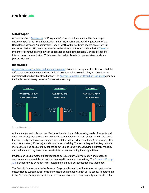# <span id="page-23-0"></span>android

#### **Gatekeeper**

Android supports [Gatekeeper](https://source.android.com/security/authentication/gatekeeper.html) for PIN/pattern/password authentication. The Gatekeeper subsystem performs this authentication in the TEE, enrolling and verifying passwords via a Hash-Based Message Authentication Code (HMAC) with a hardware-backed secret key. On supported devices, PIN/pattern/password authentication is further hardened with [Weaver](https://source.android.com/reference/hidl), a system for communicating between codebases compiled independently and is intended for inter-process communication. This is executed inside discrete tamper-resistant hardware (Secure Element).

#### **Biometrics**

[Android implements a tiered authentication model](https://security.googleblog.com/2020/09/lockscreen-and-authentication.html) which is a conceptual classification of all the different authentication methods on Android, how they relate to each other, and how they are constrained based on this classification. The [Android Compatibility Definition Document](https://source.android.com/compatibility/android-cdd.html#7_3_10_biometric_sensors) specifies the implementation requirements for biometric security.



Figure 4. Biometric tiers

Authentication methods are classified into three buckets of decreasing levels of security and commensurately increasing constraints. The primary tier is the least constrained in the sense that users only need to re-enter a primary modality under certain situations (for example, after each boot or every 72 hours) in order to use its capability. The secondary and tertiary tiers are more constrained because they cannot be set up and used without having a primary modality enrolled first and they have more constraints further restricting their capabilities.

Devices can use biometric authentication to safeguard private information and essential corporate data accessible through devices used in an enterprise setting. The [BiometricPrompt](https://developer.android.com/reference/android/hardware/biometrics/BiometricPrompt)  [API](https://developer.android.com/reference/android/hardware/biometrics/BiometricPrompt) is accessible to developers for integrating biometric authentication into their apps.

The Android framework includes face and fingerprint biometric authentication. Android can be customized to support other forms of biometric authentication, such as Iris scans. To participate in the BiometricPrompt class, biometric implementations must meet security specifications for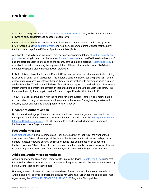<span id="page-24-0"></span>

Class 2 or 3 as required in the [Compatibility Definition Document](https://source.android.com/compatibility/android-cdd#7_3_10_biometric_sensors) (CDD). Only Class 3 biometrics allow third-party applications to access KeyStore keys.

Biometric-based unlock modalities are typically evaluated on the basis of a False Accept Rate (FAR). Android uses [two additional metrics](https://source.android.com/security/biometric/measure#metrics) to help device manufacturers evaluate their security: the Imposter Accept Rate (IAR) and Spoof Accept Rate (SAR).

Additionally, Android device manufacturers can access recommendations of [system security best](https://source.android.com/security/best-practices/system)  [practices](https://source.android.com/security/best-practices/system) for using biometric authentication. [Biometric sensors](https://source.android.com/compatibility/android-cdd#7_3_10_biometric_sensors) are classified based on their spoof and imposter acceptance rates and on the security of the biometric pipeline. [Test methodology](https://source.android.com/security/biometric/measure#test-methods) is available to assist in measuring the implementation of these unlock methods and GMS devices must follow specific biometric security test protocols.

In Android 9 and above, the BiometricPrompt API system provides biometric authentication dialogs to be used on behalf of an application. This creates a consistent look, feel, and placement for the dialog, and gives users a greater confidence they're authenticating with biometrics using a trusted credential tracker. To help control the level of security for an app's data, Android 11 provides several improvements to biometric authentication that are extended in the Jetpack Biometric library. This improves the ability for an app to use the Biometric capabilities built into Android 11.

This API is used in conjunction with the Android Keystore system. Protecting biometric data is accomplished through a hardware security module in the form of Strongbox Keymaster, which securely stores and handles cryptographic keys on a device.

#### **Fingerprint Authentication**

On devices with a fingerprint sensor, users can enroll one or more fingerprints and use those fingerprints to unlock the device and perform other tasks. Android uses the [Fingerprint Hardware](https://www.google.com/url?q=https://source.android.com/security/authentication/fingerprint-hal&sa=D&source=editors&ust=1612223651482000&usg=AOvVaw3DuZFow3chCWyUzklx7K2j)  [Interface Definition Language](https://www.google.com/url?q=https://source.android.com/security/authentication/fingerprint-hal&sa=D&source=editors&ust=1612223651482000&usg=AOvVaw3DuZFow3chCWyUzklx7K2j) (HIDL) to connect to a vendor-specific library and fingerprint hardware, such as a fingerprint sensor.

#### **Face Authentication**

[Face authentication](https://source.android.com/security/biometric/face-authentication) allows users to unlock their device simply by looking at the front of their device. Android 10 and above support the face authentication stack that can securely process camera frames, preserving security and privacy during face authentication on supported hardware. Android 10 and above also provides a method for security compliant implementations to enable application integration for transactions, such as online banking or other services.

#### **Additional Authentication Methods**

Android supports the Trust Agent Framework to unlock the device. [Google Smart Lock](https://support.google.com/android/answer/9075927?visit_id=637117140080482470-4193372917&rd=1) uses that framework to allow a device to remain unlocked as long as it stays with the user, as determined by certain user presence or other signals.

However, Smart Lock does not meet the same level of assurance as other unlock methods on Android and is not allowed to unlock auth-bound KeyStore keys. Organizations can disable Trust Agents using the [KEYGUARD\\_DISABLE\\_TRUST\\_AGENTS](https://developer.android.com/reference/android/app/admin/DevicePolicyManager.html#KEYGUARD_DISABLE_TRUST_AGENTS) flag in the EMM policies.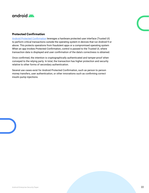<span id="page-25-0"></span>

#### **Protected Confirmation**

[Android Protected Confirmation](https://developer.android.com/training/articles/security-android-protected-confirmation) leverages a hardware protected user interface (Trusted UI) to perform critical transactions outside the operating system in devices that run Android 9 or above. This protects operations from fraudulent apps or a compromised operating system When an app invokes Protected Confirmation, control is passed to the Trusted UI, where transaction data is displayed and user confirmation of the data's correctness is obtained.

Once confirmed, the intention is cryptographically authenticated and tamper-proof when conveyed to the relying party. In total, the transaction has higher protection and security relative to other forms of secondary authentication.

Several use cases exist for Android Protected Confirmation, such as person to person money transfers, user authentication, or other innovations such as confirming correct insulin pump injections.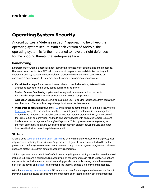<span id="page-26-0"></span>

# **Operating System Security**

Android utilizes a "defense in depth" approach to help keep the operating system secure. With each version of Android, the operating system is further hardened to have the right defenses for the ongoing threats that enterprises face.

## **Sandboxing**

Enforcement of Android's security model starts with sandboxing of applications and processes. Hardware components like a TEE help isolate sensitive processes and data like cryptographic operations and key storage. Process isolation provides the foundation for sandboxing of userspace processes and SELinux provides the primary enforcement mechanism.

- **Kernel Sandboxing** enforces restrictions on what actions the kernel may take and limits userspace access to kernel entry points such as device drivers.
- **System Process Sandboxing** applies sandboxing to all processes such as the media frameworks, telephony stack, WiFi services, and Bluetooth components.
- **Application Sandboxing** uses SELinux and a unique user ID (UID) to isolate apps from each other and the system. This sandbox keeps the application and its data secure.
- **Other areas of separation** include the [TEE](https://source.android.com/security/trusty) and userspace components. For example, the Android [Keymaster](https://source.android.com/security/keystore) integrates the keystore into the TEE, which guards cryptographic key storage from exposure and tampering. An attacker cannot read key material stored in the Keymaster even if the kernel is fully compromised. Android 9 and above devices with dedicated tamper resistant hardware can store keys in the StrongBox Keymaster. This implementation mitigates against the most sophisticated attacks such as cold boot memory attacks, power analysis, and other invasive attacks that can allow privilege escalation.

#### **SELinux**

Android uses [Security-Enhanced Linux \(SELinux\)](https://source.android.com/security/selinux) to enforce mandatory access control (MAC) over all processes, including those with root/superuser privileges. SELinux enables Android to better protect and confine system services, restrict access to app data and system logs, isolate malicious apps, and protect users from potential security vulnerabilities.

SELinux operates on the principle of default denial: Anything not explicitly allowed is denied Android includes SELinux and a corresponding security policy for components in AOSP. Disallowed actions are prevented and all attempted violations are logged via Linux tools: dmesg prints the message buffer of the kernel, and [logcat,](https://developer.android.com/studio/command-line/logcat) is a command-line tool that dumps a log of system messages.

With the [Android system architecture,](https://source.android.com/devices/architecture) SELinux is used to enforce a separation between the Android framework and the device-specific vendor components such that they run in different processes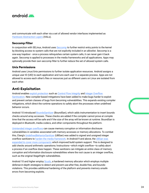<span id="page-27-0"></span>

and communicate with each other via a set of allowed vendor interfaces implemented as [Hardware Abstraction Layers](https://source.android.com/devices/architecture/hal-types/) (HALs).

#### **Seccomp Filter**

In conjunction with SELinux, Android uses [Seccomp](https://source.android.com/devices/architecture/kernel/config#Seccomp-BPF-TSYNC) to further restrict entry points to the kernel by blocking access to system calls that are not explicitly included in an allowlist. Seccomp is a one-way trapdoor - once a process relinquishes certain system calls, it can never gain it back again. Seccomp is applied to processes in the media frameworks and all applications. Apps may optionally provide their own seccomp filter to further reduce the set of allowed system calls.

#### **Unix Permissions**

Android uses Linux/Unix permissions to further isolate application resources. Android assigns a unique user ID (UID) to each application and runs each user in a separate process. Apps are not allowed to access each other's files or resources just as different users on Linux are isolated from each other.

#### **Anti-Exploitation**

Android enables [exploit protection](https://android-developers.googleblog.com/2019/05/queue-hardening-enhancements.html) such as [Control Flow Integrity](https://source.android.com/devices/tech/debug/cfi) and Integer Overflow [Sanitization](https://source.android.com/devices/tech/debug/intsan). New compiler-based mitigations have been added to make bugs harder to exploit and prevent certain classes of bugs from becoming vulnerabilities. This expands existing compiler mitigations, which direct the runtime operations to safely abort the processes when undefined behavior occurs.

Android 10 introduced [BoundsSanitizer](https://source.android.com/devices/tech/debug/bounds-sanitizer) (BoundSan), which adds instrumentation to insert bounds checks around array accesses. These checks are added if the compiler cannot prove at compile time that the access will be safe and if the size of the array will be known at runtime. BoundSan is deployed in Bluetooth, media codecs, and other components throughout the platform.

[Unintended integer overflows](https://source.android.com/devices/tech/debug/intsan) can cause memory corruption or information disclosure vulnerabilities in variables associated with memory accesses or memory allocations. To combat this, Clang's [UndefinedBehaviorSanitizer](https://clang.llvm.org/docs/UndefinedBehaviorSanitizer.html) (UBSan) was added to signed and unsigned integer overflow sanitizers to [harden the media framework](https://android-developers.googleblog.com/2016/05/hardening-media-stack.html). In Android 9 and above, the [UBSan was](https://android-developers.googleblog.com/2018/06/compiler-based-security-mitigations-in.html)  [expanded to cover more components](https://android-developers.googleblog.com/2018/06/compiler-based-security-mitigations-in.html) which improved build system support. This is designed to add checks around arithmetic operations / instructions—which might overflow—to safely abort a process if an overflow does happen. These sanitizers can mitigate an entire class of memory corruption and information disclosure vulnerabilities where the root cause is an integer overflow, such as the original Stagefright vulnerabilities.

Android 10 and higher employ [Scudo,](https://source.android.com/devices/tech/debug/scudo) a hardened memory allocator which employs multiple defense-in-depth strategies to detect and prevent use-after-free, double-free, and boundsviolations. This provides additional hardening of the platform and prevents memory unsafe errors from becoming exploits.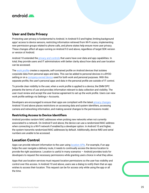<span id="page-28-0"></span>

#### **User and Data Privacy**

Protecting user privacy is fundamental to Android. In Android 9.0 and higher, limiting background apps' access to device sensors, restricting information retrieved from Wi-Fi scans, implementing new permission groups related to phone calls, and phone states help ensure more user privacy. These changes affect all apps running on Android 9.0 and above, regardless of target SDK version or version of Android.

Android 10 extended the [privacy and controls](https://source.android.com/security/enhancements/enhancements10#privacy) that users have over data and app capabilities. In total, they provide users and IT administrators with better clarity about how data and user location can be accessed.

The [work profile](https://developer.android.com/work/managed-profiles) creates a separate, self-contained profile on Android devices that isolates corporate data from personal apps and data. This can be added to personal devices in a BYOD setting or on a [company-owned device](https://developers.google.com/android/work/terminology#fully_managed_device_with_a_work_profile) used for both work and personal purposes. With this separate profile, the user's personal apps and data in the personal profile are outside of IT control.

To provide clear visibility to the user, when a work profile is applied to a device, the EMM DPC presents the terms of use and provides information relevant to data collection and visibility. The user must review and accept the user license agreement to set up the work profile. Users can view work profile settings via Settings > Accounts.

Developers are encouraged to ensure their apps are compliant with the latest [privacy changes](https://source.android.com/security/enhancements/enhancements10). Android 10 and above places restrictions on accessing data and system identifiers, accessing camera and networking information, and making several changes to the permissions model.

#### **Restricting Access to Device Identifiers**

Android provides random MAC addresses when probing new networks when not currently associated to a network. On Android 9 and above, the device can use a randomized MAC address when connecting to a Wi-Fi network if enabled by a developer option. In Android 10 and higher, the system transmits randomized MAC addresses by default. Additionally, device IMEI and serial numbers are unable to be accessed.

## **Location Control**

Apps can provide relevant information to the user using [location APIs](https://developer.android.com/training/location). For example, if an app helps the user navigate a delivery route, it needs to continually access the device location to provide the right assistance. Location is useful in many scenarios — Android provides tools for developers to request the necessary permissions while granting users choice in what they allow.

Apps that use location services must request location permissions so the user has visibility and control over this access. In Android 10 and above, users see a dialog to notify them that an app wishes to access their location. This request can be for access only while using the app or all the time.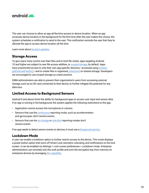<span id="page-29-0"></span>

The user can choose to allow an app all-the-time access to device location. When an app accesses device location in the background for the first time after the user makes this choice, the system schedules a notification to send to the user. This notification reminds the user that they've allowed the app to access device location all the time.

Learn more about [location updates.](https://developer.android.com/training/location/receive-location-updates#permissions)

#### **Storage Access**

To give users more control over their files and to limit file clutter, apps targeting Android 10 and higher are subject to new file access abilities, or [scoped storage](https://developer.android.com/training/data-storage#scoped-storage), by default. Apps have unrestricted access to only their own app-specific directory—accessed using [Context.](https://developer.android.com/reference/android/content/Context.html#getExternalFilesDir(java.lang.String)) [getExternalFilesDir\(\)](https://developer.android.com/reference/android/content/Context.html#getExternalFilesDir(java.lang.String))—and to create files in organized [collections](https://developer.android.com/reference/android/provider/MediaStore) on shared storage. Developers are encouraged to use scoped storage as a best practice.

EMM administrators are able to prevent their organization's users from accessing external storage, such as an SD card connected to their device, to further mitigate the potential for any data loss.

#### **Limited Access to Background Sensors**

Android 9 and above limits the ability for background apps to access user input and sensor data. If an app is running in the background, the system applies the following restrictions to the app:

- Application cannot access the microphone or camera.
- Sensors that use the [continuous](https://source.android.com/devices/sensors/report-modes#continuous) reporting mode, such as accelerometers and gyroscopes, don't receive events.
- Sensors that use the [on-change](https://source.android.com/devices/sensors/report-modes#on-change) or [one-shot](https://source.android.com/devices/sensors/report-modes#one-shot) reporting modes don't receive events

If an app needs to detect sensor events on devices, it must use a [foreground service.](https://developer.android.com/guide/components/services.html#Foreground)

#### **Lockdown Mode**

A user can enable a lockdown option to further restrict access to the device. This mode displays a power button option that turns off Smart Lock, biometric unlocking, and notifications on the lock screen. It can be enabled via Settings > Lock screen preferences > Lockdown mode. Enterprise administrators can remotely lock the work profile and evict the encryption key from memory on enterprise devices by leveraging [this capability](https://developer.android.com/reference/android/app/admin/DevicePolicyManager.html#FLAG_EVICT_CREDENTIAL_ENCRYPTION_KEY).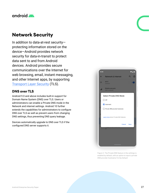<span id="page-30-0"></span>

# **Network Security**

In addition to data-at-rest security protecting information stored on the device—Android provides network security for data-in-transit to protect data sent to and from Android devices. Android provides secure communications over the Internet for web browsing, email, instant messaging, and other Internet apps, by supporting [Transport Layer Security](https://developer.android.com/training/articles/security-ssl) (TLS).

#### **DNS over TLS**

Android 9.0 and above includes built-in support for Domain Name System (DNS) over TLS. Users or administrators can enable a Private DNS mode in the Network and internet settings. Android 10 further extends the capabilities for administrators to configure DNS over TLS as well as prevent users from changing DNS settings, thus preventing DNS query leakage.

Devices automatically upgrade to DNS over TLS if the configured DNS server supports it.



Figure 5. The Private DNS feature in the settings is enabled by default, with an option to input a private DNS provider hostname.TLS by Default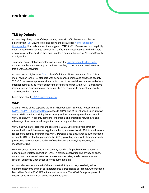## <span id="page-31-0"></span>android

## **TLS by Default**

Android helps keep data safe by protecting network traffic that enters or leaves a device with [TLS.](https://developer.android.com/training/articles/security-ssl) On Android 9 and above, the defaults for Network Security [Configuration](https://developer.android.com/training/articles/security-config.html) block all cleartext (unencrypted HTTP) traffic. Developers must explicitly opt-in to specific domains to use cleartext traffic in their applications. Android Studio also warns developers when their app includes a potentially insecure Network Security Configuration.

To prevent accidental unencrypted connections, the [android:usesCleartextTraffic](https://developer.android.com/guide/topics/manifest/application-element) manifest attribute enables apps to indicate that they do not intend to send network traffic without encryption.

Android 10 and higher uses [TLS 1.3](https://developer.android.com/about/versions/10/behavior-changes-all#tls-1.3) by default for all TLS connections. TLS 1.3 is a major revision to the TLS standard with performance benefits and enhanced security. TLS v1.3 is also more private as it encrypts more of the handshake process and offers stronger security by no longer supporting certificates signed with SHA 1. Benchmarks indicate secure connections can be established as much as 40 percent faster with TLS 1.3 compared to TLS 1.2.

Learn more about [TLS 1.3 implementation.](https://developer.android.com/about/versions/10/behavior-changes-all#tls-1.3)

#### **Wi-Fi**

Android 10 and above supports the Wi-Fi Alliance's Wi-Fi Protected Access version 3 [\(WPA3\) and Wi-Fi Enhanced Open](https://source.android.com/devices/tech/connect/wifi-wpa3-owe) standards. WPA3 and Wi-Fi Enhanced Open improve overall Wi-Fi security, providing better privacy and robustness against known attacks. WPA3 is a new WFA security standard for personal and enterprise networks, taking advantage of modern security algorithms and stronger cipher suites.

WPA3 has two parts: personal and enterprise. WPA3-Enterprise offers stronger authentication and link-layer encryption methods, and an optional 192-bit security mode for sensitive security environments. WPA3-Personal uses simultaneous authentication of equals (SAE) instead of pre-shared key (PSK), providing users with stronger security protections against attacks such as offline dictionary attacks, key recovery, and message forging.

Wi-Fi Enhanced Open is a new WFA security standard for public networks based on opportunistic wireless encryption (OWE). It provides encryption and privacy on open, non-password-protected networks in areas such as cafes, hotels, restaurants, and libraries. Enhanced Open doesn't provide authentication.

Android also supports the WPA2-Enterprise (802.11i) protocol, also designed for enterprise networks and can be integrated into a broad range of Remote Authentication Dial-In User Service (RADIUS) authentication servers. The WPA2-Enterprise protocol support uses AES-128-CCM authenticated encryption.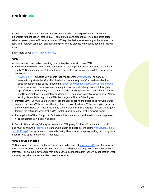<span id="page-32-0"></span>

In Android 10 and above, QR codes and NFC data used for device provisioning can contain Extensible Authentication Protocol (EAP) configuration and credentials—including certificates. When a person scans a QR code or taps an NFC tag, the device automatically authenticates to a local Wi-Fi network using EAP and starts the provisioning process without any additional manual input.

Learn more about [EAP WI-Fi provisioning](https://developer.android.com/work/versions/android-10#eap_wi-fi_provisioning).

#### **VPN**

Android supports securely connecting to an enterprise network using a VPN:

- **Always-on VPN**—The VPN can be configured so that apps don't have access to the network until a VPN connection is established, which prevents apps from sending data across other networks.
	- [Always-on VPN](https://developer.android.com/reference/android/net/VpnService.html#SERVICE_META_DATA_SUPPORTS_ALWAYS_ON) supports VPN clients that implement the [VpnService.](https://developer.android.com/reference/android/net/VpnService.html) The system automatically starts the VPN after the device boots. Always-on VPN can be enabled for apps in enterprise use cases through the [DevicePolicyManager#setAlwaysOnVpnPackage.](https://developer.android.com/reference/android/app/admin/DevicePolicyManager.html#setAlwaysOnVpnPackage(android.content.ComponentName,%20java.lang.String,%20boolean)) Device owners and profile owners can require work apps to always connect through a specified VPN. Additionally, users can manually set Always-on VPN clients that implement VpnService methods using Settings>More>VPN. The option to enable Always-on VPN from settings is available only if the VPN client targets API level 24 or higher.
- **Per User VPN**—On multi-user devices, VPNs are applied per Android user, so all network traffic is routed through a VPN without affecting other users on the device. VPNs are applied per work profile, which allows an IT administrator to specify that only their enterprise network traffic goes through the enterprise-work profile VPN—not the user's personal profile network traffic.
- **Per Application VPN**—Support to facilitate VPN connections on allowed apps and to prevent VPN connections on disallowed apps.

In Android 10 and above, VPN apps can set an HTTP proxy for their VPN connection. A VPN app must configure a Proxylnfo instance with a host and port, before calling [VpnService.Builder.](https://developer.android.com/reference/android/net/VpnService.Builder.html#setHttpProxy(android.net.ProxyInfo)) [setHttpProxy\(\).](https://developer.android.com/reference/android/net/VpnService.Builder.html#setHttpProxy(android.net.ProxyInfo)) The system and many networking libraries use this proxy setting but the system doesn't force apps to proxy HTTP requests.

#### **VPN Service Modes**

VPN apps can also discover if the service is running because of [always-on VPN](https://developer.android.com/guide/topics/connectivity/vpn#always-on) and if lockdown mode is active. New methods added in Android 10 and higher can help developers adjust the user interface. For example, developers may disable the disconnect button in the VPN application when an always-on VPN controls the lifecycle of the service.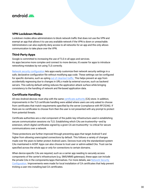<span id="page-33-0"></span>

#### **VPN Lockdown Modes**

Lockdown modes allow administrators to block network traffic that does not use the VPN and exempt an app that allows it to use any available network if the VPN is down or unreachable. Administrators can also explicitly deny access to all networks for an app and this only allows communication to take place over the VPN.

#### **Third-Party Apps**

Google is committed to increasing the use of TLS in all apps and services. As apps become more complex and connect to more devices, it's easier for apps to introduce networking mistakes by not using TLS correctly.

[Network security configuration](https://developer.android.com/training/articles/security-config) lets apps easily customize their network security settings in a safe, declarative configuration file without modifying app code. These settings can be configured for specific domains, such as opting [out of cleartext traffic.](https://developer.android.com/training/articles/security-config.html#CleartextTrafficPermitted) This helps prevent an app from accidentally regressing due to changes in URLs made by external sources, such as backend servers. This safe-by-default setting reduces the application attack surface while bringing consistency to the handling of network and file-based application data.

#### **Certificate Handling**

All new Android devices must ship with the same [certificate authority](https://source.android.com/security/overview/app-security#certificate-authorities) (CA) store. In addition, improvements in the TLS certificate handling were added where users are only asked to choose from certificates that match requirements specified by the server (compliance with RFC5246). If there are no certificates to choose from then the user is not presented with any prompt to protect from potential threats.

Certificate authorities are a vital component of the public key infrastructure used in establishing secure communication sessions via TLS. Establishing which CAs are trustworthy—and by extension, which digital certificates signed by a given CA are trustworthy—is critical for secure communications over a network.

These protections are further improved through preventing apps that target Android 9 and higher from allowing unencrypted connections by default. This follows a variety of changes made over the years to better protect Android users. Devices trust only the standardized system CAs maintained in AOSP. Apps can also choose to trust user or admin-added CAs. Trust can be specified across the whole app or only for connections to certain domains.

When device-specific CAs are required, such as a carrier app needing to securely access components of the carrier's infrastructure (e.g. SMS/MMS gateways), these apps can include the private CAs in the components/apps themselves. For more details, see [Network Security](https://developer.android.com/training/articles/security-config)  [Configuration.](https://developer.android.com/training/articles/security-config) Improvements were made for local installation of CA certificates that help prevent tricking a user into installing bad CA certificates.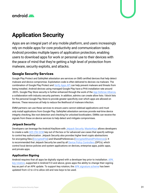<span id="page-34-0"></span>



# **Application Security**

Apps are an integral part of any mobile platform, and users increasingly rely on mobile apps for core productivity and communication tasks. Android provides multiple layers of application protection, enabling users to download apps for work or personal use to their devices with the peace of mind that they're getting a high level of protection from malware, security exploits, and attacks.

## **Google Security Services**

Google Play Protect and SafetyNet attestation are services on GMS certified devices that help detect malware and device compromise. Exploitation code is often delivered to devices via malware. The combination of Google Play Protect and [Verify Apps API](https://developer.android.com/training/safetynet/verify-apps) can help prevent malware and threats from being installed. Android devices using managed Google Play have a PHA installation rate around .003%. Google Play Store security is further enhanced through the work of the [App Defense Alliance,](https://developers.google.com/android/play-protect/app-defense-alliance) a collaboration with industry security partners. In addition, admins can create allow lists / block lists for the personal Google Play Store to provide greater specificity over which apps are allowed on devices. These resources all help to reduce the likelihood of malware infection.

EMM partners can use these services to ensure users cannot sideload applications and must only install applications from Google Play. SafetyNet attestation services provide real-time device integrity checking, like root detection and checking for unlocked bootloaders. EMMs can receive the signals from these on-device services to help detect and mitigate compromises.

#### **Jetpack Security**

Developers can leverage the Android KeyStore with [Jetpack Security](https://developer.android.com/jetpack/androidx/releases/security). [MasterKeys](https://developer.android.com/reference/androidx/security/crypto/MasterKeys) allows developers to create a safe [AES 256 GCM](https://developer.android.com/reference/androidx/security/crypto/MasterKeys.html#AES256_GCM_SPEC) key out of the box or for advanced use cases that specify settings to control key authorization. Jetpack Security also provides higher level crypto abstractions for encrypting files [\(EncryptedFile](https://developer.android.com/reference/androidx/security/crypto/EncryptedFile)) and SharedPreferences [\(EncryptedSharedPreferences](https://developer.android.com/reference/androidx/security/crypto/EncryptedSharedPreferences)). It is recommended that Jetpack Security be used by all [Device Policy Controllers \(](https://developers.google.com/android/work/dev-options#2.-custom-dpc-and-google-play-emm-api)DPCs), which control local device policies and system applications on devices, enterprise apps, public apps, and private apps.

#### **Application Signing**

Android requires that all apps be digitally signed with a developer key prior to installation. APK [key rotation](https://developer.android.com/about/versions/pie/android-9.0#apk-key-rotation), supported in Android 9.0 and above, gives apps the ability to change their signing key as part of an APK update. To support key rotation, the [APK signature scheme](https://source.android.com/security/apksigning/v3) has been updated from v2 to v3 to allow old and new keys to be used.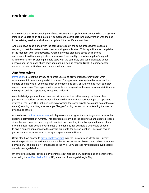<span id="page-35-0"></span>

Android uses the corresponding certificate to identify the application's author. When the system installs an update to an application, it compares the certificate in the new version with the one in the existing version, and allows the update if the certificate matches.

Android allows apps signed with the same key to run in the same process, if the apps so request, so that the system treats them as a single application. This capability is accomplished in the manifest with "sharedUserId." Android provides signature-based permissions enforcement, so that an application can expose functionality to another app that's signed with the same key. By signing multiple apps with the same key, and using signature-based permissions, an app can share code and data in a secure manner. NOTE: It is important to notethat this capability has been deprecated in Android 11.

#### **App Permissions**

[Permissions](https://developer.android.com/guide/topics/permissions/overview?hl=en) protect the privacy of Android users and provide transparency about what resources or information apps wish to access. For apps to access system features, such as camera and the web, or user data, such as contacts and SMS, an Android app must explicitly request permission. These permission prompts are designed so the user has clear visibility into the request and the opportunity to approve or deny it.

A central design point of the Android security architecture is that no app, by default, has permission to perform any operations that would adversely impact other apps, the operating system, or the user. This includes reading or writing the user's private data (such as contacts or emails), reading or writing another app's files, performing network access, keeping the device awake, and others.

Android uses [runtime permissions](https://developer.android.com/guide/topics/permissions/overview?hl=en#runtime_requests_android_60_and_higher), which presents a dialog for the user to grant access to the specified permission at runtime. This approach streamlines the app install and update process, since the user does not need to grant permissions when they install or update the app. It also gives the user more control over the app's functionality; for example, a user could choose to give a camera app access to the camera but not to the device location. Users can revoke permissions at any time, even if the app targets a lower API level.

Users also have access to [provide better control](https://android-developers.googleblog.com/2017/04/changes-to-device-identifiers-in.html?m=1) over the use of device identifiers. Privacysensitive persistent device identifiers are either no longer accessible or gated behind a runtime permission. For example, APIs that access the Wi-Fi MAC address have been removed except on fully managed devices.

On enterprise devices, device policy controllers (DPCs) can deny permissions on behalf of the user using the [setPermissionPolicy](https://developer.android.com/reference/android/app/admin/DevicePolicyManager.html#setPermissionPolicy(android.content.ComponentName,%20int)) API, a feature of managed Google Play.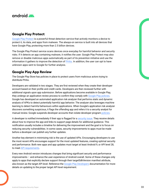<span id="page-36-0"></span>

#### **Google Play Protect**

[Google Play Protect](https://developers.google.com/android/play-protect/) is a powerful threat detection service that actively monitors a device to protect it, its data, and apps from malware. The always-on service is built into all devices that have Google Play, protecting more than 2.5 billion devices.

The Google Play Protect service scans devices once everyday for harmful behavior and security risks. If it detects an app containing malware, it notifies the user. Google Play Protect may also remove or disable malicious apps automatically as part of its prevention initiative and use the information it gathers to improve the detection of [PHAs.](https://developers.google.com/android/play-protect/potentially-harmful-applications) In addition, the user can opt to have unknown apps sent to Google for further analysis.

## **Google Play App Review**

The Google Play Store has policies in place to protect users from malicious actors trying to distribute PHAs.

Developers are validated in two stages. They are first reviewed when they create their developer account based on their profile and credit cards. Developers are then reviewed further with additional signals upon app submission. Before applications become available in Google Play, they undergo an application review process to confirm they comply with [Google Play policies](https://play.google.com/intl/us/about/developer-content-policy/#showlanguages). Google has developed an automated application risk analyzer that performs static and dynamic analysis of APKs to detect potentially harmful app behavior. The analyzer also leverages machine learning to detect harmful behaviours within applications. When Google's application risk analyzer discovers something suspicious, it flags the offending app and refers it to a security analyst for manual review. Google suspends developer accounts that violate developer program [policies.](http://www.android.com/us/developer-content-policy.html#showlanguages)

A developer is notified immediately if their app is flagged for a [security issue.](https://developer.android.com/google/play/asi) They receive details about how to improve the app and links to support page details for additional guidance. This notification usually includes a timeline for delivering the improvement and the goal is to focus on reducing security vulnerabilities. In some cases, security improvements to apps must be made before a developer can publish any further updates.

Another key element in minimizing risk is the use of updated APIs. Encouraging developers to use the most recent APIs encourages support for the most updated features, creating optimal security and performance. Both new apps and app updates must target at least Android 9, or API level 28, to meet [API requirements.](https://developer.android.com/distribute/best-practices/develop/target-sdk)

Every new Android version introduces changes that bring significant security and performance improvements – and enhance the user experience of Android overall. Some of these changes only apply to apps that explicitly declare support through their targetSdkVersion manifest attribute, also known as the target API level. Reference the [Google Play Developers](https://developer.android.com/distribute/best-practices/develop/target-sdk) documentation for more details on updating to the proper target API level requirement.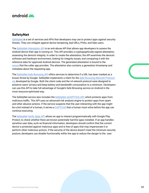<span id="page-37-0"></span>

## **SafetyNet**

[SafetyNet](https://developer.android.com/training/safetynet) is a set of services and APIs that developers may use to protect apps against security threats. They can mitigate against device tampering, bad URLs, PHAs, and fake users.

The [SafetyNet Attestation API](https://developer.android.com/training/safetynet/attestation) is an anti-abuse API that allows app developers to assess the Android device their app is running on. This API provides a cryptographically-signed attestation, assessing the device's integrity. In order to create the attestation, the API examines the device's software and hardware environment, looking for integrity issues, and comparing it with the reference data for approved Android devices. The generated attestation is bound to the [nonce](https://developer.android.com/training/safetynet/attestation#obtain-nonce) that the caller app provides. The attestation also contains a generation timestamp and metadata about the requesting app.

The [SafetyNet Safe Browsing API](https://developer.android.com/training/safetynet/safebrowsing) offers services to determine if a URL has been marked as a known threat by Google. SafetyNet implements a client for the [Safe Browsing Network Protocol](https://developers.google.com/safe-browsing/v4)   $v4$ , developed by Google. Both the client code and the v4 network protocol were designed to preserve users' privacy and keep battery and bandwidth consumption to a minimum. Developers can use this API to take full advantage of Google's Safe Browsing service on Android in the most resource-optimized way.

The SafetyNet service also includes the [SafetyNet reCAPTCHA API](https://developer.android.com/training/safetynet/recaptcha), which protects apps from malicious traffic. This API uses an advanced risk analysis engine to protect apps from spam and other abusive actions. If the service suspects that the user interacting with the app might be a bot instead of a human, it serves a [CAPTCHA](https://www.google.com/recaptcha/intro/v3.html) that a human must solve before the app can continue executing.

The [SafetyNet Verify Apps API](https://developer.android.com/training/safetynet/verify-apps.html) allows an app to interact programmatically with Google Play Protect, to check whether there are known potentially harmful apps installed. If an app handles sensitive user data, such as financial information, developers should confirm that the current device is protected against malicious apps and is free of apps that may impersonate it or perform other malicious actions. If the security of the device doesn't meet the minimum security posture, developers can disable functionality within the app to reduce the danger to the user.

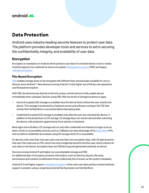<span id="page-38-0"></span>

# **Data Protection**

Android uses industry-leading security features to protect user data. The platform provides developer tools and services to aid in securing the confidentiality, integrity, and availability of user data.

## **Encryption**

Encryption is mandatory on Android which protects user data if an Android device is lost or stolen. Android supports two methods for device encryption: [file-based encryption](https://source.android.com/security/encryption/file-based) (FBE) and legacy [full-disk encryption](https://source.android.com/security/encryption/full-disk).

#### **File-Based Encryption**

[FBE](https://source.android.com/security/encryption/file-based) enables storage areas to be encrypted with different keys and has been available for use on devices since Android 7. New devices running Android 10 and higher out of the box are required to use file-based encryption.

With FBE, the device boots directly to the lock screen, and the device is fully usable almost immediately when unlocked. Devices using FBE offer two kinds of storage locations to apps:

- Device Encrypted (DE) storage is available once the device boots, before the user unlocks the device. This storage is protected by a hardware secret and software running in the TEE that checks that Verified Boot is successful before decrypting data.
- Credential Encrypted (CE) storage is available only after the user has unlocked the device. In addition to the protections on DE storage, CE storage keys can only be derived after unlocking the device, with protection against brute force attacks in hardware.

Most apps store all data in CE storage and run only after credentials are entered, but apps such as alarm clocks or accessibility services such as Talkback can take advantage of the [Direct Boot](https://developer.android.com/training/articles/direct-boot.html) APIs and run before credentials are entered, using DE storage while CE is unavailable.

On devices with more than one user, each user has their own encryption keys, with CE keys bound to that user; this improves on FDE, which has only a single key bound to the first user, which unlocks all user data on the device. Encryption keys are 256 bits long and generated randomly on-device.

Devices running Android 9 and higher can use adoptable storage and FBE. An additional layer of encryption protects information, such as directory layouts, file sizes, permissions and creation/modification times (collectively this is known as file system metadata).

Android 9.0 and higher support [metadata encryption](https://source.android.com/security/encryption/metadata) of the main user data partition where hardware support is present, using a single key protected by Keymaster and Verified Boot.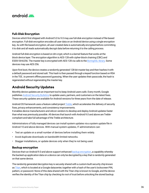

#### **Full-Disk Encryption**

Devices which first shipped with Android 5.0 to 9.0 may use full-disk encryption instead of file-based encryption. Full-disk encryption encodes all user data on an Android device using a single encryption key. As with file-based encryption, all user-created data is automatically encrypted before committing it to disk and all reads automatically decrypt data before returning it to the calling process.

Android full-disk encryption is based on dm-crypt, which is a kernel feature that works at the block device layer. The encryption algorithm is AES-128 with cipher-block chaining (CBC) and ESSIV:SHA256. The master key is encrypted with AES-128 via calls to the [BoringSSL library.](https://opensource.google.com/projects/boringssl) Some devices may use AES-256.

Upon first boot, the device creates a randomly generated 128-bit master key and then hashes it with a default password and stored salt. This hash is then passed through a keyed function based on RSA in the TEE , to prevent offline password guessing. When the user updates their passcode, the hash is regenerated without regenerating the master key.

## **Android Security Updates**

Monthly device updates are an important tool to keep Android users safe. Every month, Google publishes **Android Security Bulletins** to update users, partners, and customers on the latest fixes. These security updates are available for Android versions for three years from the date of release.

Android OS framework uses a feature called project [Treble](https://source.android.com/devices/architecture#hidl), which accelerates the delivery of security fixes, privacy enhancements, and consistency improvements.

It enables device manufacturers and silicon vendors to develop and deploy Android updates faster than what was previously possible. All devices that launch with Android 9.0 and above are Treblecompliant and take full advantage of the Treble architecture.

Administrators of fully managed devices can install system updates via a system update file in Android 10 and above devices. With manual system updates, IT administrators can:

- Test an update on a small number of devices before installing them widely.
- Avoid duplicate downloads on bandwidth-limited networks.
- Stagger installations, or update devices only when they're not being used.

#### **Backup encryption**

Devices that run Android 9.0 and above support enhanced [backup encryption,](https://security.googleblog.com/2018/10/google-and-android-have-your-back-by.html) a capability whereby the backed-up application data on a device can only be decrypted by a key that is randomly generated on that same device.

The randomly generated decryption key is securely shared with a custom-built security chip known as [Titan,](https://cloud.google.com/blog/products/gcp/titan-in-depth-security-in-plaintext) which is located at a Google datacenter, together with a hash of the user's lockscreen PIN, pattern, or password. None of this data shared with the Titan chip is known to Google, and the device verifies the identity of the Titan chip by checking its root of trust before unlocking the stored backup.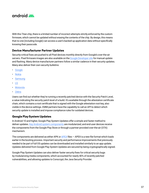<span id="page-40-0"></span>

With this Titan chip, there is a limited number of incorrect attempts strictly enforced by the custom firmware, which cannot be updated without erasing the contents of the chip. By design, this means that no one (including Google) can access a user's backed-up application data without specifically knowing their passcode.

#### **Device Manufacturer Partner Updates**

Security-critical fixes are pushed to all Pixel devices monthly directly from Google's over-the-air servers. Pixel firmware images are also available on the [Google Developer site](https://developers.google.com/android/images) for manual update and flashing. Many device manufacturer partners follow a similar cadence in their security updates. Many also deliver their own security bulletins:

- [Google](https://source.android.com/security/bulletin/pixel/)
- [Nokia](https://www.nokia.com/en_int/phones/security-updates)
- **[Samsung](https://security.samsungmobile.com/securityUpdate.smsb)**
- [LG](https://lgsecurity.lge.com/security_updates_mobile.html)
- **[Motorola](https://motorola-global-portal.custhelp.com/app/software-security-page/g_id/6806)**
- [Zebra](https://www.zebra.com/us/en/support-downloads/lifeguard-security.html)

Users can find out whether they're running a recently patched device with the Security Patch Level, a value indicating the security patch level of a build. It's available through the attestation certificate chain, which contains a root certificate that is signed with the Google attestation root key, also visible in the device settings. EMM partners have the capability to call an API to detect which security update is installed and impose compliance rules for outdated devices.

#### **Google Play System Updates**

In Android 10 and higher, Google Play System Updates offer a simple and faster method to deliver updates. [Key Android system components](https://source.android.com/devices/architecture/modular-system) are modularized, and end-user devices receive the components from the Google Play Store or through a partner-provided over-the-air (OTA) mechanism.

The components are delivered as either APK or  $APEX$  files  $-$  [APEX](https://source.android.com/devices/tech/ota/apex) is a new file format which loads earlier in the booting process. Important security and performance improvements that previously needed to be part of full OS updates can be downloaded and installed similarly to an app update. Updates delivered from Google Play System Updates are secured by being cryptographically signed.

Google Play System Updates can also deliver faster security fixes for critical security bugs by modularizing media components, which accounted for nearly 40% of recently patched vulnerabilities, and allowing updates to Conscrypt, the Java Security Provider.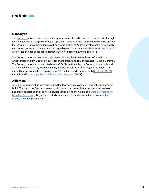<span id="page-41-0"></span>

#### **Conscrypt**

The [Conscrypt](https://source.android.com/devices/architecture/modular-system/conscrypt) module accelerates security improvements and improves device security through regular updates via Google Play System Updates. It uses Java code and a native library to provide the Android TLS implementation as well as a large portion of Android cryptographic functionality such as key generators, ciphers, and message digests . Conscrypt is available as an [open source](https://github.com/google/conscrypt)  [library,](https://github.com/google/conscrypt) though it has some specializations when included in the Android platform.

The Conscrypt module uses [BoringSSL](https://boringssl.googlesource.com/boringssl/), a native library that is a Google fork of OpenSSL and which is used in many Google products for cryptography and TLS (most notably Google Chrome). The Conscrypt module is distributed as an APEX file that includes the Conscrypt Java code and a Conscrypt native library that dynamically links to Android NDK libraries (such as liblog). The native library also includes a copy of BoringSSL that has has been validated ([Certificate #3753](https://csrc.nist.gov/projects/cryptographic-module-validation-program/certificate/3753)) through NIST's [Cryptographic Module Validation Program](https://csrc.nist.gov/projects/cryptographic-module-validation-program) (CMVP).

#### **Adiantum**

[Adiantum](https://source.android.com/security/encryption/adiantum) is an encryption method designed for devices running Android 9 and higher whose CPUs lack AES instructions. This provides encryption to such devices with little performance overhead and enables a class of lower-powered devices to use strong encryption. The Android Compatibility [Definition Document](https://source.android.com/compatibility/cdd) (CDD) reflects that all new Android devices be encrypted using one of the allowed encryption algorithms.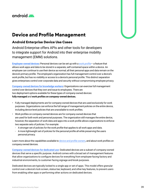<span id="page-42-0"></span>

# **Device and Profile Management**

#### **Android Enterprise Device Use Cases**

Android Enterprise offers APIs and other tools for developers to integrate support for Android into their enterprise mobility management (EMM) solutions.

**[Employee-owned devices:](https://developers.google.com/android/work/overview#employee-owned-devices-byod)** Personal devices can be set up with a [work profile](https://support.google.com/work/android/answer/6191949?hl=en)— a feature that allows work apps and data to be stored in a separate, self-contained space within a device. An employee can continue to use their device as normal; all their personal apps and data remain on the device's primary profile. The employee's organization has full management control over a device's work profile, but has no visibility or access to a device's personal profile. This distinct separation gives enterprises control over corporate data and security without compromising employee privacy.

**[Company-owned devices for knowledge workers:](https://developers.google.com/android/work/overview#company-owned-devices-for-knowledge-workers)** Organizations can exercise full management control over devices that they own and issue to employees. There are two deployment options available for these types of company-owned devices: **fully managed** and **work profiles on company-owned devices.**

- Fully managed deployments are for company-owned devices that are used exclusively for work purposes. Organizations can enforce the full range of management policies on the entire device, including device-level policies that are unavailable to work profiles.
- Work profiles on company-owned devices are for company-owned devices that are used for both work and personal purposes. The organization still manages the entire device, however, the separation of work data and apps into a work profile allows organizations to enforce two separate sets of policies. For example:
	- A stronger set of policies for the work profile that applies to all work apps and data.
	- A more lightweight set of policies for the personal profile all while preserving the users personal privacy.

Learn more about the capabilities available to [device and profile owners](https://developers.google.com/android/work/device-management), and about work profiles on company owned devices.

**[Company-owned devices](https://developers.google.com/android/work/overview#company-owned-devices-for-dedicated-use) for dedicated use**: Dedicated devices are a subset of company-owned devices that serve a specific purpose. Android comes with a broad set of management features that allow organizations to configure devices for everything from employee-facing factory and industrial environments, to customer-facing signage and kiosk purposes.

Dedicated devices are typically locked to a single app or set of apps. This model offers granular control over a device's lock screen, status bar, keyboard, and other key features, to prevent users from enabling other apps or performing other actions on dedicated devices.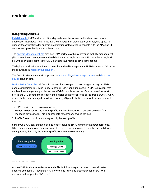<span id="page-43-0"></span>

#### **Integrating Android**

**[EMM Console:](https://developers.google.com/android/work/overview#emm_console)** EMM partner solutions typically take the form of an EMM console—a web application that allows IT administrators to manage their organization, devices, and apps. To support these functions for Android, organizations integrate their console with the APIs and UI components provided by Android Enterprise.

The [Android Management API](https://developers.google.com/android/management) provides EMM partners with an enterprise mobility management (EMM) solution to manage any Android device with a single, intuitive API. It enables a single API set with all available features for EMM partners thus reducing development time.

To deploy a production solution that uses the Android Management API, EMMs need to follow the steps outlined in ["release your solution".](https://developers.google.com/android/work/release-solution)

The Android Management API supports the [work profile](https://developers.google.com/android/work/requirements/work-profile), [fully managed device,](https://developers.google.com/android/work/requirements/fully-managed-device) and [dedicated](https://developers.google.com/android/work/requirements/dedicated-device)  [device](https://developers.google.com/android/work/requirements/dedicated-device) solution sets.

[Device Policy Controller:](https://developers.google.com/android/work/overview#dpc) All Android devices that an organization manages through an EMM console must install a Device Policy Controller (DPC) app during setup. A DPC is an agent that applies the management policies set in an EMM console to devices. On a device with a work profile, the DPC controls the creation and policies of the work profile, or the profile owner (PO). A device that is fully managed, or a device owner (DO) profile that is device wide, is also controlled by a DPC.

The DPC runs in one of two main modes:

- 1. **Device Owner**: runs in the primary profile and has the ability to manage a device in fully managed device mode. This is appropriate for company-owned devices.
- 2. **Profile Owner**: runs in and manages only the work profile.

Similarly, a BYOD configuration also no longer includes a DPC running in the personal profile. When only work apps and data are present on the device, such as in a typical dedicated device configuration, then only the primary profile exists with a DPC running.



Figure 6. BYOD configuration.

Android 10 introduces new features and APIs for fully managed devices — manual system updates, extending QR code and NFC provisioning to include credentials for an EAP Wi-Fi network, and support for DNS over TLS.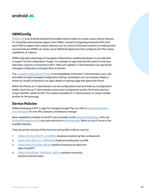<span id="page-44-0"></span>

## **OEMConfig**

[OEMConfig](https://support.google.com/work/android/answer/9388447?hl=en) is an Android standard that enables device makers to create custom device features for immediate and universal support from EMMs. Instead of integrating enterprise APIs from each OEM to support their custom features such as control of barcode scanners or enabling extra security features, EMMs can easily use an OEM-built application that configures all of the unique capabilities of a device.

OEMConfig takes advantage of managed configurations, enabling developers to provide builtin support for the configuration of apps. For example, an app may have the option to only sync data when a device is connected to Wi-Fi. With such abilities, IT administrators can specify the managed configuration and apply them to devices.

The [managed configurations iFrame](https://developers.google.com/android/management/managed-configurations-iframe) is an embeddable UI that lets IT administrators save, edit, and delete an app's managed configuration settings. Developers can, for example, display a button (or similar UI element) in an app's details or settings page that opens the iFrame.

Within the iFrame, an IT administrator can set configurations and save them as a configuration profile. Each time an IT administrator saves a new configuration profile, the iFrame returns a unique identifier called mcmID. This makes it possible for IT administrators to create multiple profiles for the same app.

## **Device Policies**

EMMs developing a DPC or apps for managed Google Play can refer to [Android Developers](https://developer.android.com/work/versions#screen_lock_quality_check)  [documentation](https://developer.android.com/work/versions#screen_lock_quality_check) for new APIs, features, and behavior changes.

Most capabilities available to the DPC are accessible via the [DevicePolicyManager](https://developer.android.com/reference/android/app/admin/DevicePolicyManager.html) APIs, the [Android Management API](https://developers.google.com/android/management), and user restrictions in [UserManager](https://developer.android.com/reference/android/os/UserManager.html). Below is a list of some of the available features.

They can prevent sharing of files from the work profile or device, such as:

- 1. [DISALLOW\\_BLUETOOTH\\_SHARING:](https://developer.android.com/reference/android/os/UserManager.html#DISALLOW_BLUETOOTH_SHARING) disallows transferring files via Bluetooth.
- 2. [DISALLOW\\_USB\\_FILE\\_TRANSFER](https://developer.android.com/reference/android/os/UserManager.html#DISALLOW_USB_FILE_TRANSFER): disallows sending files via USB.
- 3. [DISALLOW\\_OUTGOING\\_BEAM:](https://developer.android.com/reference/android/os/UserManager.html#DISALLOW_OUTGOING_BEAM) disallows beaming out data from apps using NFC.
- 4. [DISALLOW\\_MOUNT\\_PHYSICAL\\_MEDIA:](https://developer.android.com/reference/android/os/UserManager.html#DISALLOW_MOUNT_PHYSICAL_MEDIA) disallows mounting physical external media.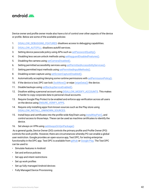

Device owner and profile owner mode also have a lot of control over other aspects of the device or profile. Below are some of the available policies:

- 1. [DISALLOW\\_DEBUGGING\\_FEATURES:](https://developer.android.com/reference/android/os/UserManager.html#DISALLOW_DEBUGGING_FEATURES) disallows access to debugging capabilities.
- 2. [DISALLOW\\_AUTOFILL](https://developer.android.com/reference/android/os/UserManager.html#DISALLOW_AUTOFILL): disallows autofill services.
- 3. Setting device passcode policy using APIs such as [setPasswordQuality\(\).](https://developer.android.com/reference/android/app/admin/DevicePolicyManager.html#setPasswordQuality(android.content.ComponentName,%20int))
- 4. Disabling less secure unlock methods using [setKeyguardDisabledFeatures\(\)](https://developer.android.com/reference/android/app/admin/DevicePolicyManager.html#setKeyguardDisabledFeatures(android.content.ComponentName,%20int)).
- 5. Disabling the camera using [setCameraDisabled\(\).](https://developer.android.com/reference/android/app/admin/DevicePolicyManager.html#setCameraDisabled(android.content.ComponentName,%20boolean))
- 6. Setting permitted accessibility services using [setPermittedAccessibilityServices\(\).](https://developer.android.com/reference/android/app/admin/DevicePolicyManager.html#setPermittedAccessibilityServices(android.content.ComponentName,%20java.util.List%3Cjava.lang.String%3E))
- 7. Setting permitted input methods using [setPermittedInputMethods\(\)](https://developer.android.com/reference/android/app/admin/DevicePolicyManager.html#setPermittedInputMethods(android.content.ComponentName,%20java.util.List%3Cjava.lang.String%3E)).
- 8. Disabling screen capture using [setScreenCaptureDisabled\(\)](https://developer.android.com/reference/android/app/admin/DevicePolicyManager.html#setScreenCaptureDisabled(android.content.ComponentName,%20boolean)).
- 9. Automatically accepting/denying some runtime permissions with [setPermissionPolicy\(\)](https://developer.android.com/reference/android/app/admin/DevicePolicyManager.html#setPermissionPolicy(android.content.ComponentName,%20int)).
- 10. If the device is lost, DPC can lock  $(lockNow())$  or wipe  $(wipeData())$  the device.
- 11. Disable backups using [setBackupServiceEnabled\(\).](https://developer.android.com/reference/android/app/admin/DevicePolicyManager.html#setBackupServiceEnabled(android.content.ComponentName,%20boolean))
- 12. Disallow adding a personal account using [DISALLOW\\_MODIFY\\_ACCOUNTS.](https://developer.android.com/reference/android/os/UserManager.html#DISALLOW_MODIFY_ACCOUNTS) This makes it harder to copy corporate data to personal cloud accounts.
- 13. Require Google Play Protect to be enabled and enforce app verification across all users on the device using [ENSURE\\_VERIFY\\_APPS.](https://developer.android.com/reference/android/os/UserManager.html#ENSURE_VERIFY_APPS)
- 14. Require only installing apps from known sources such as the Play store using [DISALLOW\\_INSTALL\\_UNKNOWN\\_SOURCES.](https://developer.android.com/reference/android/os/UserManager.html#DISALLOW_INSTALL_UNKNOWN_SOURCES)
- 15. Install keys and certificates into the profile-wide KeyChain using [installKeyPair\(\),](https://developer.android.com/reference/android/app/admin/DevicePolicyManager.html#installKeyPair(android.content.ComponentName,%20java.security.PrivateKey,%20java.security.cert.Certificate,%20java.lang.String)) and control access to those keys. These can be used as machine certificates to identify the device.
- 16. Set always on VPN using [setAlwaysOnVpnPackage\(\)](https://developer.android.com/reference/android/app/admin/DevicePolicyManager.html#setAlwaysOnVpnPackage(android.content.ComponentName,%20java.lang.String,%20boolean))

 As a general guide, Device Owner (DO) controls the primary profile and Profile Owner (PO) controls the work profile. However, there are circumstances whereby PO can enable a global user restriction. Google provides an open-source app, Test DPC, for testing enterprise functionality in the DPC app. Test DPC is available from [github](http://github.com/googlesamples/android-testdpc/) or [Google Play.](https://play.google.com/store/apps/details?id=com.afwsamples.testdpc&hl=en) The Test DPC can be used to:

- Simulate features in Android
- Set and enforce policies
- Set app and intent restrictions
- Set up work profiles
- Set up fully managed Android devices
- Fully Managed Device Provisioning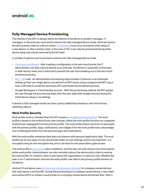

## **Fully Managed Device Provisioning**

The lifetime of the DPC is always tied to the lifetime of the device or profile it manages. IT managers, or the end user, must enroll a device into fully managed device mode, which provisions the device policy client as a device owner. [Provisioning](https://developers.google.com/android/work/prov-devices#device_owner_provisioning_methods) must occur during the initial setup of a new device, or after a factory reset. In the case of DO, it can only be provisioned during initial device setup and only be removed by the DO itself.

A number of options exist to provision a device into fully managed device mode:

- [Zero-touch enrollment](https://developers.google.com/android/work/requirements?api=playemm#1.5.-zero-touch-enrollment)  after creating a configuration in the zero-touch portal, the IT administrator can ship a device directly to an end-user. Enrollment is automatic at first boot, or after factory reset, and is enforced to prevent the user from breaking out of the zero-touch enrollment process.
- NFC /  $QR \text{ code -}$  An administrator provisioning large numbers of devices or an employee setting up their own single device can perform an NFC bump using a programmed NFC tag or scan a QR code to install the necessary DPC and initiate the enrollment process.
- Google Workspace or Cloud Identity account With this provisioning method, the DPC guides the user through the provisioning steps after the user adds their Google Account during the initial device setup or via settings.

A device in fully managed mode can have a policy added that prevents a user from factory resetting a device.

#### **Work Profile Security**

Work profile mode is initiated when the DPC issues a [managed provisioning flow.](http://developer.android.com/reference/android/app/admin/DevicePolicyManager.html#ACTION_PROVISION_MANAGED_PROFILE) The work profile is based on the Android multi-user concept, where the work profile functions as a separate Android user segregated from the primary profile. The work profile shares common UI real estate with the primary profile. Apps, notifications, and widgets from the work profile have a blue badge icon to distinguish them from the personal apps and notifications.

With the work profile, enterprise data does not intermix with personal application data. The work profile has its own apps, its own downloads folder, its own settings, and its own KeyChain. It is encrypted using its own encryption key, and it can have its own passcode to gate access.

The work profile is [provisioned](https://developers.google.com/android/work/prov-devices#profile_owner_provisioning_methods) upon installation, and the user can only remove it by removing the entire work profile. Administrators can also remotely instruct the device policy client to remove the work profile, for instance, when a user leaves the organization or a device is lost. Whether the user or an IT administrator removes the work profile, user data in the primary profile remains on the device.

Android 10 and above uses [provisioning and attestation features](https://developer.android.com/work/versions#work-profile_device-id_attestation) for company-owned devices that only require a work profile. During the provisioning of a company-owned device, a new intent extra allows DPCs to initiate a work profile on a company owned device enrollment flow. After a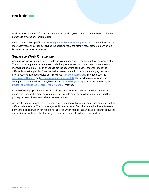<span id="page-47-0"></span>

work profile is created or full management is established, DPCs must launch policy compliance screens to enforce any initial policies.

A device with a work profile can be [configured with factory reset protection](https://developers.google.com/android/work/security#enable_enterprise_factory_reset_protection) so that if the device is incorrectly reset, the organization has the ability to reset the factory reset protection, which is a feature that prevents device theft.

## **Separate Work Challenge**

Android supports a separate work challenge to enhance security and control for the work profile. The work challenge is a separate passcode that protects work apps and data. Administrators managing the work profile can choose to set the password policies for the work challenge differently from the policies for other device passwords. Administrators managing the work profile set the challenge policies using the usual [DevicePolicyManager](https://developer.android.com/reference/android/app/admin/DevicePolicyManager.html) methods, such as [setPasswordQuality\(\)](https://developer.android.com/reference/android/app/admin/DevicePolicyManager.html#setPasswordQuality(android.content.ComponentName,%20int)) and [setPasswordMinimumLength\(\).](https://developer.android.com/reference/android/app/admin/DevicePolicyManager.html#setPasswordMinimumLength(android.content.ComponentName,%20int)) These administrators can also configure the primary device lock, by using the [DevicePolicyManager](https://developer.android.com/reference/android/app/admin/DevicePolicyManager.html) instance returned by the [DevicePolicyManager.getParentProfileInstance\(\)](https://developer.android.com/reference/android/app/admin/DevicePolicyManager#getParentProfileInstance(android.content.ComponentName)) method.

As part of setting up a separate work challenge, users may also elect to enroll fingerprints to unlock the work profile more conveniently. Fingerprints must be enrolled separately from the primary profile as they are not shared across profiles.

As with the primary profile, the work challenge is verified within secure hardware, ensuring that it's difficult to brute-force. The passcode, mixed in with a secret from the secure hardware, is used to derive the disk encryption key for the work profile, which means that an attacker cannot derive the encryption key without either knowing the passcode or breaking the secure hardware.

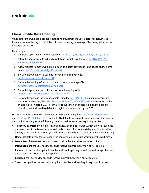<span id="page-48-0"></span>

#### **Cross Profile Data Sharing**

While data in the work profile is segregated by default from the user's personal data, there are instances where sharing is useful. Android allows sharing between profiles in ways that can be managed by the DPC.

For example:

- 1. Disallow copy & paste between profiles: [DISALLOW\\_CROSS\\_PROFILE\\_ COPY\\_PASTE](https://developer.android.com/reference/android/os/UserManager.html#DISALLOW_CROSS_PROFILE_COPY_PASTE)
- 2. Allow the primary profile to handle web links from the work profile: [ALLOW\\_PARENT\\_](https://developer.android.com/reference/android/os/UserManager.html#ALLOW_PARENT_PROFILE_APP_LINKING) [PROFILE\\_APP\\_LINKING](https://developer.android.com/reference/android/os/UserManager.html#ALLOW_PARENT_PROFILE_APP_LINKING)
- 3. Allow widgets from the work profile, such as a calendar widget, to be added on the home screen: [addCrossProfileWidgetProvider\(\)](https://developer.android.com/reference/android/app/admin/DevicePolicyManager.html#addCrossProfileWidgetProvider(android.content.ComponentName,%20java.lang.String))
- 4. Set whether work profile Caller ID is shown in primary profile: [setCrossProfileCallerIdDisabled\(\)](https://developer.android.com/reference/android/app/admin/DevicePolicyManager.html#setCrossProfileCallerIdDisabled(android.content.ComponentName,%20boolean))
- 5. Set whether work profile contacts are shown in primary profile: [setCrossProfileContactsSearchDisabled\(\)](https://developer.android.com/reference/android/app/admin/DevicePolicyManager.html#setCrossProfileContactsSearchDisabled(android.content.ComponentName,%20boolean))
- 6. Set which apps can see notifications from the work profile: [setPermittedCrossProfileNotificationListeners\(\)](https://developer.android.com/reference/android/app/admin/DevicePolicyManager.html#setPermittedCrossProfileNotificationListeners(android.content.ComponentName,%20java.util.List%3Cjava.lang.String%3E))
- 7. Set whether apps in the primary profile using the [ACTION\\_SEND](https://developer.android.com/reference/android/content/Intent.html#ACTION_SEND) intent may share into the work profile using the [DISALLOW\\_SHARE\\_INTO\\_MANAGED\\_PROFILE](https://developer.android.com/reference/android/os/UserManager#DISALLOW_SHARE_INTO_MANAGED_PROFILE) user restriction available as of Android 9.0. Note that, to reduce the risk of data leakage, the opposite direction is not allowed by default, though it can be enabled by the DPC.

IT administrators can also control cross profile intents using the [addCrossProfileIntentFilter](http://developer.android.com/reference/android/app/admin/DevicePolicyManager.html#addCrossProfileIntentFilter(android.content.ComponentName,%20android.content.IntentFilter,%20int)) and [clearCrossProfileIntentFilters](http://developer.android.com/reference/android/app/admin/DevicePolicyManager.html#clearCrossProfileIntentFilters(android.content.ComponentName)) methods. By default, during work profile creation, the system automatically configures the following intents to be forwarded to the primary profile:

- **Telephony intents:** administrators can also allowlist a dialer for work, which allows a "business" phone account to make and receive work calls instead of forwarding telephony intents to the primary profile dialer. In this case, all calls from the work dialer are inserted into the work call log.
- **Home intent**: to invoke the launcher in the primary profile since it doesn't run in the work profile.
- **Get content:** the user has the option to resolve in either the primary or work profile.
- **Open document**: the user has the option to resolve in either the primary or work profile.
- **Picture:** the user has the option to resolve in either the primary or work profile if an app that can handle a camera exists in the work profile.
- **Set clock:** the user has the option to resolve in either the primary or work profile.
- **Speech recognition:** the user has the option to resolve in either the primary or work profile.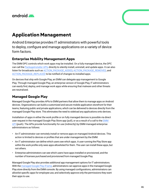<span id="page-49-0"></span>

# **Application Management**

Android Enterprise provides IT administrators with powerful tools to deploy, configure and manage applications on a variety of device form factors.

## **Enterprise Mobility Management Apps**

The EMM DPC controls which work apps may be installed. On a fully managed device, the DPC can call the [PackageInstaller APIs](https://developer.android.com/reference/android/content/pm/PackageInstaller.html) directly to silently install, uninstall, and update apps. It can also listen for broadcasts such as [ACTION\\_PACKAGE\\_ADDED](https://developer.android.com/reference/android/content/Intent.html#ACTION_PACKAGE_ADDED), [ACTION\\_PACKAGE\\_REMOVED](https://developer.android.com/reference/android/content/Intent.html#ACTION_PACKAGE_REMOVED), and [ACTION\\_PACKAGE\\_REPLACED](https://developer.android.com/reference/android/content/Intent.html#ACTION_PACKAGE_REPLACED) to be notified of changes to installed apps.

On devices that ship with Google Play, an EMM can delegate app management to Google Play. Through managed Google Play, an enterprise version of Google Play, IT administrators can easily find, deploy, and manage work apps while ensuring that malware and other threats are neutralized.

## **Managed Google Play**

Managed Google Play provides APIs to EMM partners that allow them to manage apps on Android devices. Organizations can build a customized and secure mobile application storefront for their teams, featuring public and private applications, which can be delivered to devices directly from the managed Google Play store. This eliminates the need to sideload any applications onto devices.

Installation of apps in either the work profile or on fully managed devices is possible via direct user request in the managed Google Play Store app (pull), or as a result of a call to the EMM [API](http://developers.google.com/android/work/play/emm-api) (push). The APIs provide functionality for use (indirectly) by EMM-managed enterprise administrators as follows:

- An IT administrator can remotely install or remove apps on managed Android devices. This action is limited to devices or profiles that are under management by the EMM.
- An IT administrator can define which users see which apps. A user running the Play Store app within the work profile only sees apps allowlisted for them. The user can install these apps, but not others.
- Enterprise administrators can see which users have apps installed or provisioned, and the number of licenses purchased and provisioned from managed Google Play.

Managed Google Play also provides additional app management options for IT administrators. With the [managed Google Play iFrame](https://developers.google.com/android/work/play/emm-api/managed-play-iframe), administrators can approve apps in the managed Google Play store directly from the EMM console. By using managed configurations, administrators can allowlist specific apps for employee use, and selectively approve only the permissions they want their apps to use.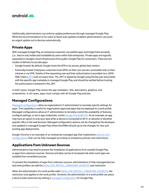<span id="page-50-0"></span>

Additionally, administrators can enforce update preferences through managed Google Play. While the recommendation is for users to leave auto updates enabled, administrators can push an urgent update out to devices automatically.

#### **Private Apps**

With managed Google Play, an enterprise customer can publish apps and target them privately (i.e., they're only visible and installable by users within that enterprise). Private apps are logically separated in Google's cloud infrastructure from public Google Play for consumers. There are two modes of delivery for private apps:

- Google-hosted: By default, Google hosts the APK in its secure, global data centers.
- Externally-hosted: Enterprise customers host APKs on their own servers, accessible only on their intranet or via VPN. Details of the requesting user and their authorization is provided via a JSON Web Token ([JWT](http://jwt.io/)) with an expiry time. The JWT is signed by Google using the key pair associated with the specific app metadata in managed Google Play, and should be verified before trusting the authorization contained in the JWT.

In both cases, Google Play stores the app metadata—title, description, graphics, and screenshots. In all cases, apps must comply with all Google Play policies.

## **Managed Configurations**

[Managed configurations](https://developer.android.com/work/managed-configurations) allow an organization's IT administrator to remotely specify settings for apps. This capability is useful for organization-approved apps that are deployed to a work profile. Managed configurations allow an IT administrator to remotely control the availability of features, configure settings, or set in-app credentials, via the [Google Play EMM API.](https://developers.google.com/android/work/play/emm-api/) As an example, an app may have an option to only sync data when a device is connected to Wi-Fi, or allowlist or blocklist specific URLs in the web browser. Managed configuration options can be changed by the developer and updated in managed Google Play where the EMM will pick up on the changes for new and existing app deployments.

Google Chrome is an example of an enterprise-managed app that implements [policies and](http://www.chromium.org/administrators/policy-list-3)  [configurations](http://www.chromium.org/administrators/policy-list-3) that can be fully managed according to enterprise policies and restrictions.

## **Applications from Unknown Sources**

Administrators may need to prevent the installation of applications from outside Google Play, or apps from unknown sources. Devices and data can be at increased risk when such apps are installed from unverified sources.

To prevent the installation of apps from unknown sources, administrators of fully managed devices and work profiles can add the [DISALLOW\\_INSTALL\\_UNKNOWN\\_SOURCES](https://developer.android.com/reference/android/os/UserManager#DISALLOW_INSTALL_UNKNOWN_SOURCES) user restriction.

When the administrator of a work profile adds [DISALLOW\\_INSTALL\\_UNKNOWN\\_SOURCES](https://developer.android.com/reference/android/os/UserManager#DISALLOW_INSTALL_UNKNOWN_SOURCES), the restriction only applies to the work profile. However, the administrator of a work profile can place a device-wide restriction by setting a [managed configuration](https://developer.android.com/work/managed-configurations) for Google Play.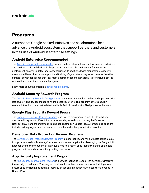<span id="page-51-0"></span>

# **Programs**

A number of Google-backed initiatives and collaborations help advance the Android ecosystem that support partners and customers in their use of Android in enterprise settings.

## **Android Enterprise Recommended**

The [Android Enterprise Recommended](https://www.android.com/enterprise/recommended/) program sets an elevated standard for enterprise devices and services. Validated devices in the program meet a set of specifications for hardware, deployment, security updates, and user experience. In addition, device manufacturers receive an enhanced level of technical support and training. Organizations may select devices from the curated list with confidence that they meet a common set of criteria required for inclusion in the Android Enterprise Recommended program.

Learn more about the program's [device requirements.](https://androidenterprisepartners.withgoogle.com/glossary/device/)

#### **Android Security Rewards Program**

The [Android Security Rewards \(ASR\) program](https://www.google.com/about/appsecurity/android-rewards/) incentivizes researchers to find and report security issues, providing key assistance to Android security efforts. This program covers security vulnerabilities discovered in the latest available Android versions for Pixel phones and tablets.

## **Google Play Security Reward Program**

The [Google Play Security Reward Program](https://www.google.com/about/appsecurity/play-rewards/) incentivizes researchers to report vulnerabilities discovered in apps with 100 million or more installs, as well as apps using the Exposure Notification API and other Contact Tracing apps hosted on Google Play. All of Google's apps are included in the program, and developers of popular Android apps are invited to opt-in.

## **Developer Data Protection Reward Program**

The [Developer Data Protection Reward Program](https://www.google.com/about/appsecurity/ddprp/) aims to identify and mitigate data abuse issues in popular Android applications, Chrome extensions, and applications leveraging the Google API. It recognizes the contributions of individuals who help report apps that are violating applicable program policies and are potentially putting user data at risk.

## **App Security Improvement Program**

The [App Security Improvement Program](https://developer.android.com/google/play/asi) is a service that helps Google Play developers improve the security of their apps. The program provides tips and recommendations for building more secure apps and identifies potential security issues and mitigations when apps are uploaded to Google Play.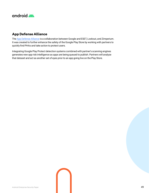<span id="page-52-0"></span>

## **App Defense Alliance**

The [App Defense Alliance](https://developers.google.com/android/play-protect/app-defense-alliance) is a collaboration between Google and ESET, Lookout, and Zimperium. It was created to further enhance the safety of the Google Play Store by working with partners to quickly find PHAs and take action to protect users.

Integrating Google Play Protect detection systems combined with partner's scanning engines generates new app risk intelligence as apps are being queued to publish. Partners will analyze that dataset and act as another set of eyes prior to an app going live on the Play Store.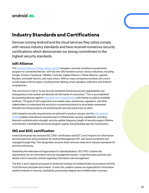<span id="page-53-0"></span>

# **Industry Standards and Certifications**

Devices running Android and the cloud services they utilize comply with various industry standards and have received numerous security certifications which demonstrate our strong commitment to the highest security standards.

## **ioXt Alliance**

The [Internet of Secure Things Alliance \(ioXt\)](http://ioxtalliance.org/) manages a security compliance assessment program for connected devices. ioXt has over 300 members across various industries, including Google, Amazon, Facebook, T-Mobile, Comcast, Zigbee Alliance, Z-Wave Alliance, Legrand, Resideo, Schneider Electric, and many others. With so many companies involved, ioXt covers a wide range of device types, including smart lighting, smart speakers, webcams, and Android smartphones.

The core focus of ioXt is "to set security standards that bring security, upgradability and transparency to the market and directly into the hands of consumers." This is accomplished by assessing devices against [a baseline set of requirements](https://www.ioxtalliance.org/the-pledge) and relying on publicly available evidence. The goal of ioXt's approach is to enable users, enterprises, regulators, and other stakeholders to understand the security in connected products to drive better awareness towards how these products are protecting the security and privacy of users.

ioXt's baseline security requirements are tailored for product classes, and the [ioXt Android](https://www.ioxtalliance.org/s/ioXt_Android_Profile_100_C-05-01-01.pdf)  [Profile](https://www.ioxtalliance.org/s/ioXt_Android_Profile_100_C-05-01-01.pdf) enables smartphone manufacturers to differentiate security capabilities, including biometric authentication strength, security update frequency, length of security support lifetime commitment, vulnerability disclosure program quality, and preloaded app risk minimization.

## **ISO and SOC certification**

Android Enterprise has received ISO 27001 certification and SOC 2 and 3 reports for information security practices and procedures for Android Management API, zero-touch enrollment and managed Google Play. This designation ensures these services meet strict industry standards for security and privacy.

Granted by the International Organization for Standardization, ISO 27001 outlines the requirements for an information security management system. It specifies best practices and details a list of security controls regarding information risk management.

The SOC 2 and 3 reports are based on American Institute of Certified Public Accountants (AICPA) Trust Services principles and criteria. To earn this, auditors assess an organization's information systems relevant to security, availability, processing integrity and confidentiality or privacy.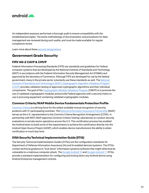<span id="page-54-0"></span>

An independent assessor performed a thorough audit to ensure compatibility with the established principles. The entire methodology of documentation and procedures for data management are reviewed during such audits, and must be made available for regular compliance review.

Learn more about these [security designations](https://www.blog.google/products/android-enterprise/android-enterprise-iso-certification/).

#### **Government Grade Security**

#### **FIPS 140-2 CAVP & CMVP**

Federal Information Processing Standards (FIPS) are standards and guidelines for Federal computer systems that are developed by the National Institute of Standards and Technology (NIST) in accordance with the Federal Information Security Management Act (FISMA) and approved by the Secretary of Commerce. Although FIPS are developed for use by the federal government, many in the private sector voluntarily use these standards as well. The [National](https://csrc.nist.gov/Projects/cryptographic-algorithm-validation-program)  [Institute of Standards and Technology's \(NIST\) Cryptographic Algorithm Validation Program](https://csrc.nist.gov/Projects/cryptographic-algorithm-validation-program)  [\(CAVP\)](https://csrc.nist.gov/Projects/cryptographic-algorithm-validation-program) provides validation testing of approved cryptographic algorithms and their individual components. The goal of the [Cryptographic Module Validation Program](https://csrc.nist.gov/Projects/Cryptographic-Module-Validation-Program) (CMVP) is to promote the use of validated cryptographic modules and provide Federal agencies with a security metric to use in procuring equipment containing validated cryptographic modules.

#### **Common Criteria/NIAP Mobile Device Fundamentals Protection Profile**

[Common Criteria](https://www.commoncriteriaportal.org/) is a driving force for the widest available mutual recognition of security products with 31 participating countries. The [National Information Assurance Partnership](https://www.niap-ccevs.org/) (NIAP) serves as the U.S. representative to the Common Criteria Recognition Arrangement (CCRA). In partnership with NIST, NIAP approves Common Criteria Testing Laboratories to conduct security evaluations in private sector operations across the U.S. This certification process has enabled the Android team to build some of the requirements to achieve this certification directly into the Android Open Source Project (AOSP), which enables device manufacturers the ability to attain certification in much less time.

#### **DISA Security Technical Implementation Guide (STIG)**

The Security Technical Implementation Guides (STIGs) are the configuration standards for Department of Defense Information Assurance (IA) and IA-enabled devices/systems. The STIGs contain technical guidance to "lock down" information systems/software that might otherwise be vulnerable to a malicious computer attack. The [Google Android 10](https://dl.dod.cyber.mil/wp-content/uploads/stigs/zip/U_Google_Android_10-x_V1R2_STIG.zip) and [Google Android 11](https://dl.dod.cyber.mil/wp-content/uploads/stigs/zip/U_Google_Android_11_STIG.zip) STIGs provide a standard implementation for configuring and locking down any Android device using Android Enterprise management controls.